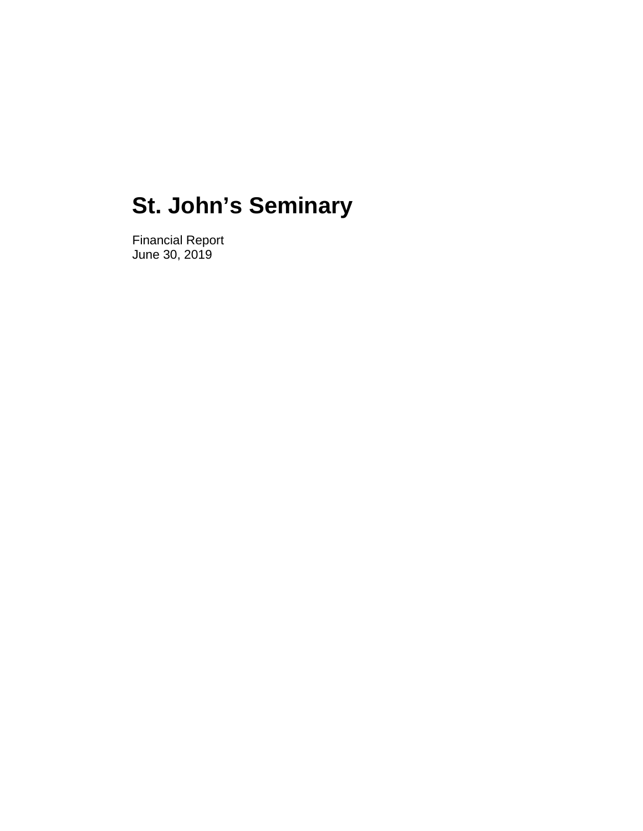Financial Report June 30, 2019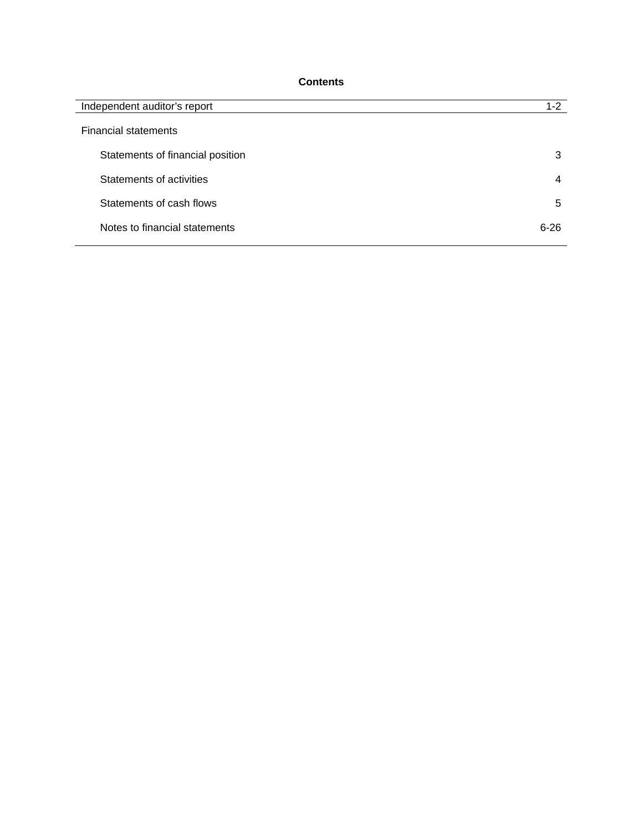# **Contents**

| Independent auditor's report     | $1 - 2$  |
|----------------------------------|----------|
| <b>Financial statements</b>      |          |
| Statements of financial position | 3        |
| Statements of activities         | 4        |
| Statements of cash flows         | 5        |
| Notes to financial statements    | $6 - 26$ |
|                                  |          |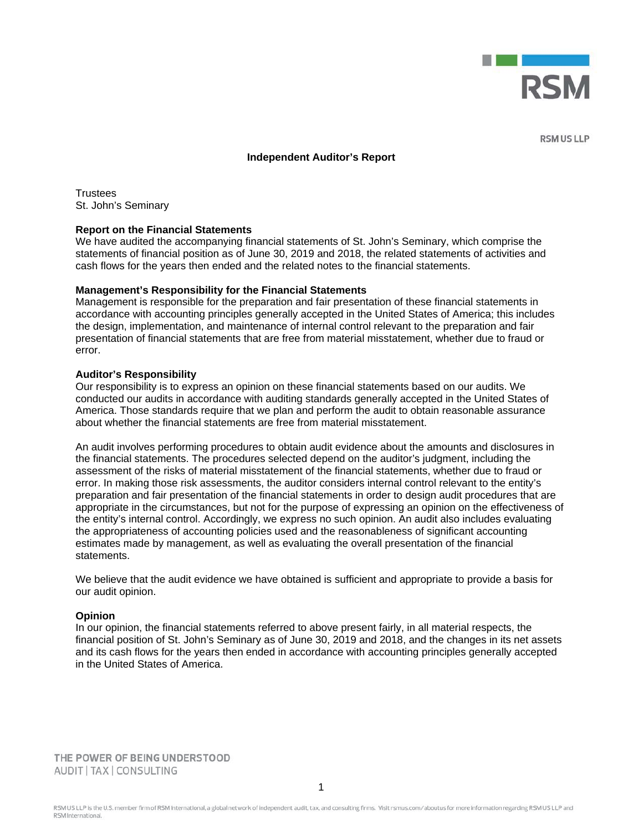

**RSM US LLP** 

#### **Independent Auditor's Report**

**Trustees** St. John's Seminary

#### **Report on the Financial Statements**

We have audited the accompanying financial statements of St. John's Seminary, which comprise the statements of financial position as of June 30, 2019 and 2018, the related statements of activities and cash flows for the years then ended and the related notes to the financial statements.

#### **Management's Responsibility for the Financial Statements**

Management is responsible for the preparation and fair presentation of these financial statements in accordance with accounting principles generally accepted in the United States of America; this includes the design, implementation, and maintenance of internal control relevant to the preparation and fair presentation of financial statements that are free from material misstatement, whether due to fraud or error.

#### **Auditor's Responsibility**

Our responsibility is to express an opinion on these financial statements based on our audits. We conducted our audits in accordance with auditing standards generally accepted in the United States of America. Those standards require that we plan and perform the audit to obtain reasonable assurance about whether the financial statements are free from material misstatement.

An audit involves performing procedures to obtain audit evidence about the amounts and disclosures in the financial statements. The procedures selected depend on the auditor's judgment, including the assessment of the risks of material misstatement of the financial statements, whether due to fraud or error. In making those risk assessments, the auditor considers internal control relevant to the entity's preparation and fair presentation of the financial statements in order to design audit procedures that are appropriate in the circumstances, but not for the purpose of expressing an opinion on the effectiveness of the entity's internal control. Accordingly, we express no such opinion. An audit also includes evaluating the appropriateness of accounting policies used and the reasonableness of significant accounting estimates made by management, as well as evaluating the overall presentation of the financial statements.

We believe that the audit evidence we have obtained is sufficient and appropriate to provide a basis for our audit opinion.

#### **Opinion**

In our opinion, the financial statements referred to above present fairly, in all material respects, the financial position of St. John's Seminary as of June 30, 2019 and 2018, and the changes in its net assets and its cash flows for the years then ended in accordance with accounting principles generally accepted in the United States of America.

THE POWER OF BEING UNDERSTOOD AUDIT | TAX | CONSULTING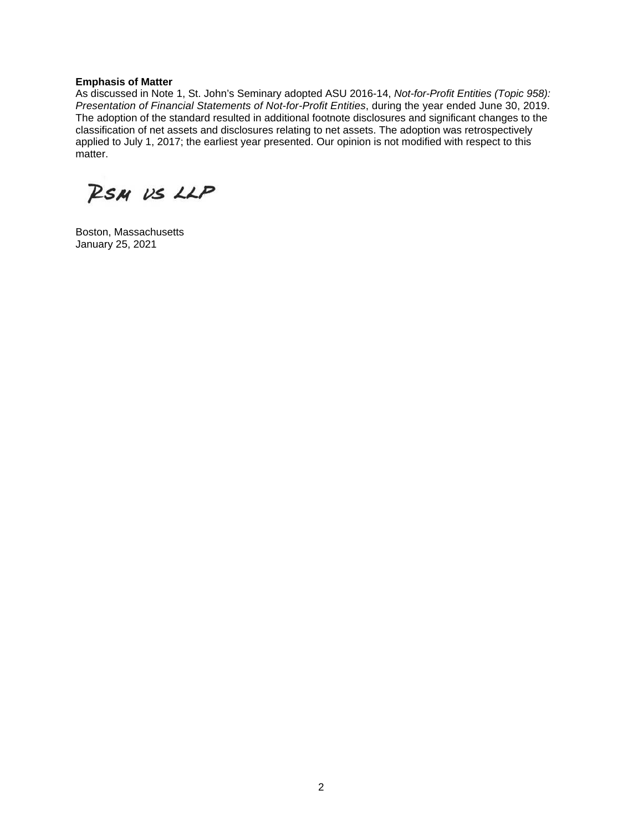#### **Emphasis of Matter**

As discussed in Note 1, St. John's Seminary adopted ASU 2016-14, *Not-for-Profit Entities (Topic 958): Presentation of Financial Statements of Not-for-Profit Entities*, during the year ended June 30, 2019. The adoption of the standard resulted in additional footnote disclosures and significant changes to the classification of net assets and disclosures relating to net assets. The adoption was retrospectively applied to July 1, 2017; the earliest year presented. Our opinion is not modified with respect to this matter.

RSM US LLP

Boston, Massachusetts January 25, 2021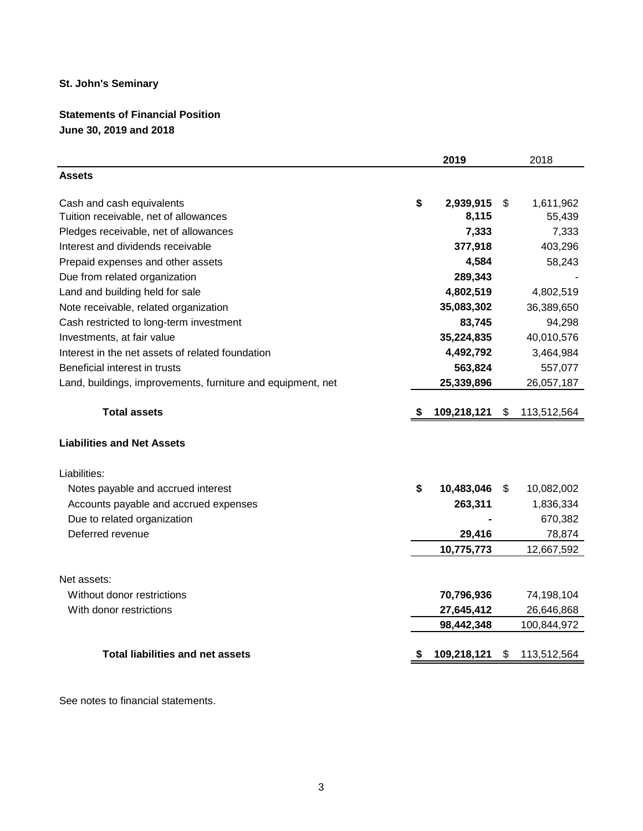# **Statements of Financial Position June 30, 2019 and 2018**

|                                                             |     | 2019        | 2018              |
|-------------------------------------------------------------|-----|-------------|-------------------|
| <b>Assets</b>                                               |     |             |                   |
| Cash and cash equivalents                                   | \$  | 2,939,915   | \$<br>1,611,962   |
| Tuition receivable, net of allowances                       |     | 8,115       | 55,439            |
| Pledges receivable, net of allowances                       |     | 7,333       | 7,333             |
| Interest and dividends receivable                           |     | 377,918     | 403,296           |
| Prepaid expenses and other assets                           |     | 4,584       | 58,243            |
| Due from related organization                               |     | 289,343     |                   |
| Land and building held for sale                             |     | 4,802,519   | 4,802,519         |
| Note receivable, related organization                       |     | 35,083,302  | 36,389,650        |
| Cash restricted to long-term investment                     |     | 83,745      | 94,298            |
| Investments, at fair value                                  |     | 35,224,835  | 40,010,576        |
| Interest in the net assets of related foundation            |     | 4,492,792   | 3,464,984         |
| Beneficial interest in trusts                               |     | 563,824     | 557,077           |
| Land, buildings, improvements, furniture and equipment, net |     | 25,339,896  | 26,057,187        |
| <b>Total assets</b>                                         | - 5 | 109,218,121 | \$<br>113,512,564 |
| <b>Liabilities and Net Assets</b>                           |     |             |                   |
| Liabilities:                                                |     |             |                   |
| Notes payable and accrued interest                          | \$  | 10,483,046  | \$<br>10,082,002  |
| Accounts payable and accrued expenses                       |     | 263,311     | 1,836,334         |
| Due to related organization                                 |     |             | 670,382           |
| Deferred revenue                                            |     | 29,416      | 78,874            |
|                                                             |     | 10,775,773  | 12,667,592        |
| Net assets:                                                 |     |             |                   |
| Without donor restrictions                                  |     | 70,796,936  | 74,198,104        |
| With donor restrictions                                     |     | 27,645,412  | 26,646,868        |
|                                                             |     | 98,442,348  | 100,844,972       |
|                                                             |     |             |                   |
| <b>Total liabilities and net assets</b>                     |     | 109,218,121 | \$<br>113,512,564 |

See notes to financial statements.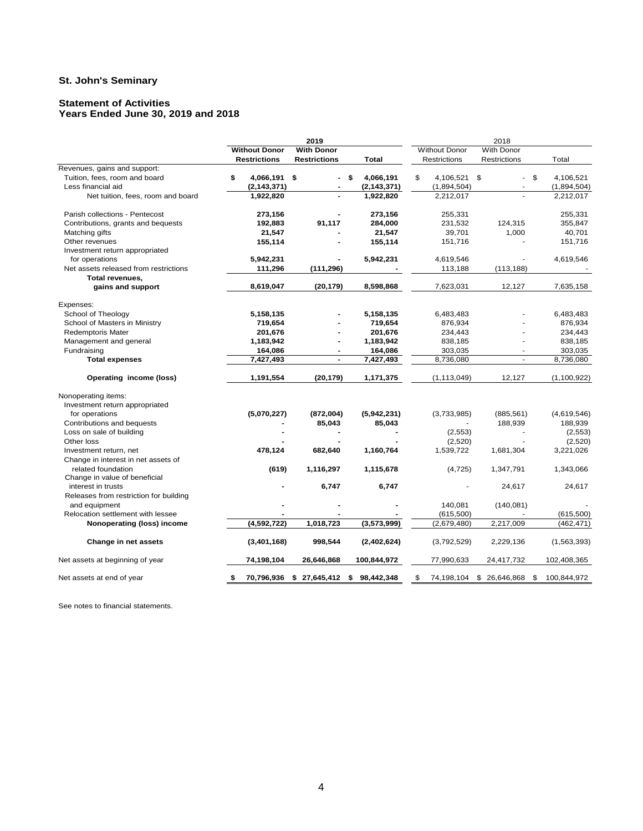#### **Statement of Activities Years Ended June 30, 2019 and 2018**

|                                        |                      | 2019                        |                 | 2018                               |                          |                   |  |  |  |
|----------------------------------------|----------------------|-----------------------------|-----------------|------------------------------------|--------------------------|-------------------|--|--|--|
|                                        | <b>Without Donor</b> | <b>With Donor</b>           |                 | <b>Without Donor</b><br>With Donor |                          |                   |  |  |  |
|                                        | <b>Restrictions</b>  | <b>Restrictions</b>         | <b>Total</b>    | Restrictions                       | <b>Restrictions</b>      | Total             |  |  |  |
| Revenues, gains and support:           |                      |                             |                 |                                    |                          |                   |  |  |  |
| Tuition, fees, room and board          | \$<br>4,066,191 \$   |                             | \$<br>4,066,191 | \$<br>4,106,521 \$                 | $\sim$                   | \$<br>4,106,521   |  |  |  |
| Less financial aid                     | (2, 143, 371)        |                             | (2, 143, 371)   | (1,894,504)                        | $\overline{\phantom{a}}$ | (1,894,504)       |  |  |  |
| Net tuition, fees, room and board      | 1,922,820            |                             | 1,922,820       | 2,212,017                          |                          | 2,212,017         |  |  |  |
| Parish collections - Pentecost         | 273,156              |                             | 273,156         | 255,331                            |                          | 255,331           |  |  |  |
| Contributions, grants and bequests     | 192,883              | 91,117                      | 284,000         | 231,532                            | 124,315                  | 355,847           |  |  |  |
| Matching gifts                         | 21,547               |                             | 21,547          | 39,701                             | 1,000                    | 40,701            |  |  |  |
| Other revenues                         | 155,114              |                             | 155,114         | 151,716                            |                          | 151,716           |  |  |  |
| Investment return appropriated         |                      |                             |                 |                                    |                          |                   |  |  |  |
| for operations                         | 5,942,231            |                             | 5,942,231       | 4,619,546                          |                          | 4,619,546         |  |  |  |
| Net assets released from restrictions  | 111,296              | (111, 296)                  |                 | 113,188                            | (113, 188)               |                   |  |  |  |
| Total revenues,                        |                      |                             |                 |                                    |                          |                   |  |  |  |
| gains and support                      | 8,619,047            | (20, 179)                   | 8,598,868       | 7,623,031                          | 12,127                   | 7,635,158         |  |  |  |
|                                        |                      |                             |                 |                                    |                          |                   |  |  |  |
| Expenses:                              |                      |                             |                 |                                    |                          |                   |  |  |  |
| School of Theology                     | 5,158,135            |                             | 5,158,135       | 6,483,483                          |                          | 6,483,483         |  |  |  |
| School of Masters in Ministry          | 719,654              |                             | 719,654         | 876,934                            |                          | 876,934           |  |  |  |
| <b>Redemptoris Mater</b>               | 201,676              |                             | 201,676         | 234,443                            |                          | 234,443           |  |  |  |
| Management and general                 | 1,183,942            | $\blacksquare$              | 1,183,942       | 838,185                            | ÷                        | 838,185           |  |  |  |
| Fundraising                            | 164,086              | $\blacksquare$              | 164,086         | 303,035                            | $\sim$                   | 303,035           |  |  |  |
| <b>Total expenses</b>                  | 7,427,493            | $\blacksquare$              | 7,427,493       | 8,736,080                          | $\mathbf{r}$             | 8,736,080         |  |  |  |
| Operating income (loss)                | 1,191,554            | (20, 179)                   | 1,171,375       | (1, 113, 049)                      | 12,127                   | (1, 100, 922)     |  |  |  |
| Nonoperating items:                    |                      |                             |                 |                                    |                          |                   |  |  |  |
| Investment return appropriated         |                      |                             |                 |                                    |                          |                   |  |  |  |
| for operations                         | (5,070,227)          | (872,004)                   | (5,942,231)     | (3,733,985)                        | (885, 561)               | (4,619,546)       |  |  |  |
| Contributions and bequests             |                      | 85,043                      | 85,043          |                                    | 188,939                  | 188,939           |  |  |  |
| Loss on sale of building               |                      |                             |                 | (2, 553)                           |                          | (2, 553)          |  |  |  |
| Other loss                             |                      |                             |                 | (2,520)                            |                          | (2,520)           |  |  |  |
| Investment return, net                 | 478,124              | 682,640                     | 1,160,764       | 1,539,722                          | 1,681,304                | 3,221,026         |  |  |  |
| Change in interest in net assets of    |                      |                             |                 |                                    |                          |                   |  |  |  |
| related foundation                     | (619)                | 1,116,297                   | 1,115,678       | (4, 725)                           | 1,347,791                | 1,343,066         |  |  |  |
| Change in value of beneficial          |                      |                             |                 |                                    |                          |                   |  |  |  |
| interest in trusts                     |                      | 6,747                       | 6,747           |                                    | 24,617                   | 24,617            |  |  |  |
| Releases from restriction for building |                      |                             |                 |                                    |                          |                   |  |  |  |
| and equipment                          |                      |                             |                 | 140,081                            | (140, 081)               |                   |  |  |  |
| Relocation settlement with lessee      |                      |                             |                 | (615, 500)                         |                          | (615, 500)        |  |  |  |
| Nonoperating (loss) income             | (4,592,722)          | 1,018,723                   | (3,573,999)     | (2,679,480)                        | 2,217,009                | (462, 471)        |  |  |  |
| Change in net assets                   | (3,401,168)          | 998,544                     | (2,402,624)     | (3,792,529)                        | 2,229,136                | (1,563,393)       |  |  |  |
| Net assets at beginning of year        | 74,198,104           | 26,646,868                  | 100,844,972     | 77,990,633                         | 24,417,732               | 102,408,365       |  |  |  |
| Net assets at end of year              | \$                   | 70,796,936 \$ 27,645,412 \$ | 98,442,348      | \$<br>74,198,104 \$                | 26,646,868               | \$<br>100,844,972 |  |  |  |

See notes to financial statements.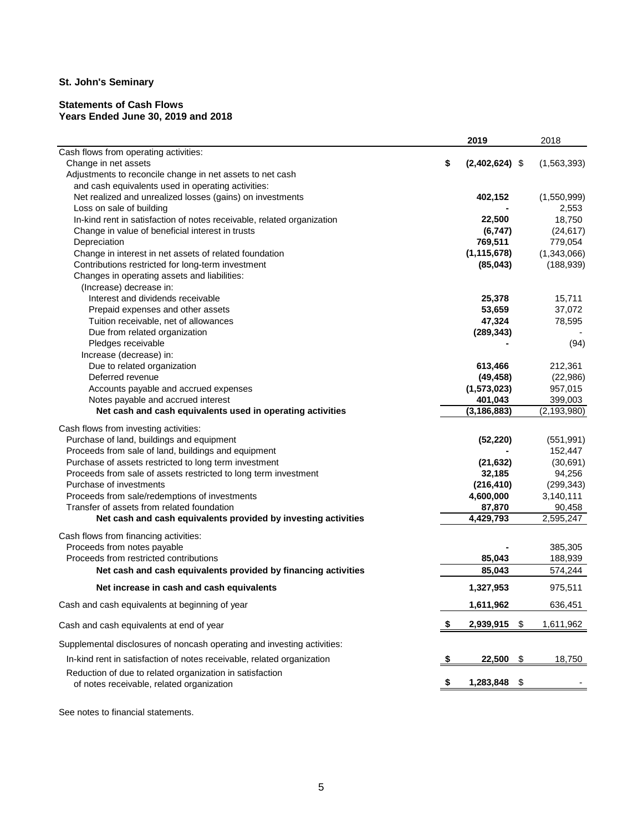#### **Statements of Cash Flows Years Ended June 30, 2019 and 2018**

| Cash flows from operating activities:<br>\$<br>$(2,402,624)$ \$<br>(1, 563, 393)<br>Change in net assets<br>Adjustments to reconcile change in net assets to net cash<br>and cash equivalents used in operating activities:<br>Net realized and unrealized losses (gains) on investments<br>402,152<br>(1,550,999)<br>Loss on sale of building<br>2,553<br>In-kind rent in satisfaction of notes receivable, related organization<br>18,750<br>22,500<br>Change in value of beneficial interest in trusts<br>(24, 617)<br>(6, 747)<br>769,511<br>779,054<br>Depreciation<br>(1, 115, 678)<br>(1,343,066)<br>Change in interest in net assets of related foundation<br>Contributions restricted for long-term investment<br>(85, 043)<br>(188, 939)<br>Changes in operating assets and liabilities:<br>(Increase) decrease in:<br>25,378<br>Interest and dividends receivable<br>15,711<br>53,659<br>37,072<br>Prepaid expenses and other assets<br>78,595<br>Tuition receivable, net of allowances<br>47,324<br>Due from related organization<br>(289, 343)<br>Pledges receivable<br>(94)<br>Increase (decrease) in:<br>Due to related organization<br>212,361<br>613,466<br>Deferred revenue<br>(22, 986)<br>(49, 458)<br>Accounts payable and accrued expenses<br>(1,573,023)<br>957,015<br>Notes payable and accrued interest<br>401,043<br>399,003<br>Net cash and cash equivalents used in operating activities<br>(3, 186, 883)<br>(2, 193, 980)<br>Cash flows from investing activities:<br>Purchase of land, buildings and equipment<br>(52, 220)<br>(551, 991)<br>Proceeds from sale of land, buildings and equipment<br>152,447<br>Purchase of assets restricted to long term investment<br>(30, 691)<br>(21, 632)<br>Proceeds from sale of assets restricted to long term investment<br>32,185<br>94,256<br>Purchase of investments<br>(216, 410)<br>(299, 343)<br>Proceeds from sale/redemptions of investments<br>4,600,000<br>3,140,111<br>Transfer of assets from related foundation<br>87,870<br>90,458<br>Net cash and cash equivalents provided by investing activities<br>4,429,793<br>2,595,247<br>Cash flows from financing activities:<br>Proceeds from notes payable<br>385,305<br>Proceeds from restricted contributions<br>85,043<br>188,939<br>85,043<br>Net cash and cash equivalents provided by financing activities<br>574,244<br>1,327,953<br>Net increase in cash and cash equivalents<br>975,511<br>1,611,962<br>636,451<br>Cash and cash equivalents at beginning of year<br>2,939,915<br>\$<br>1,611,962<br>\$<br>Cash and cash equivalents at end of year<br>Supplemental disclosures of noncash operating and investing activities:<br>In-kind rent in satisfaction of notes receivable, related organization<br>22,500<br>\$<br>18,750<br>Reduction of due to related organization in satisfaction<br>1,283,848<br>\$<br>of notes receivable, related organization |  | 2019 | 2018 |
|----------------------------------------------------------------------------------------------------------------------------------------------------------------------------------------------------------------------------------------------------------------------------------------------------------------------------------------------------------------------------------------------------------------------------------------------------------------------------------------------------------------------------------------------------------------------------------------------------------------------------------------------------------------------------------------------------------------------------------------------------------------------------------------------------------------------------------------------------------------------------------------------------------------------------------------------------------------------------------------------------------------------------------------------------------------------------------------------------------------------------------------------------------------------------------------------------------------------------------------------------------------------------------------------------------------------------------------------------------------------------------------------------------------------------------------------------------------------------------------------------------------------------------------------------------------------------------------------------------------------------------------------------------------------------------------------------------------------------------------------------------------------------------------------------------------------------------------------------------------------------------------------------------------------------------------------------------------------------------------------------------------------------------------------------------------------------------------------------------------------------------------------------------------------------------------------------------------------------------------------------------------------------------------------------------------------------------------------------------------------------------------------------------------------------------------------------------------------------------------------------------------------------------------------------------------------------------------------------------------------------------------------------------------------------------------------------------------------------------------------------------------------------------------------------------------------------------------------------------------------------------------------------------|--|------|------|
|                                                                                                                                                                                                                                                                                                                                                                                                                                                                                                                                                                                                                                                                                                                                                                                                                                                                                                                                                                                                                                                                                                                                                                                                                                                                                                                                                                                                                                                                                                                                                                                                                                                                                                                                                                                                                                                                                                                                                                                                                                                                                                                                                                                                                                                                                                                                                                                                                                                                                                                                                                                                                                                                                                                                                                                                                                                                                                          |  |      |      |
|                                                                                                                                                                                                                                                                                                                                                                                                                                                                                                                                                                                                                                                                                                                                                                                                                                                                                                                                                                                                                                                                                                                                                                                                                                                                                                                                                                                                                                                                                                                                                                                                                                                                                                                                                                                                                                                                                                                                                                                                                                                                                                                                                                                                                                                                                                                                                                                                                                                                                                                                                                                                                                                                                                                                                                                                                                                                                                          |  |      |      |
|                                                                                                                                                                                                                                                                                                                                                                                                                                                                                                                                                                                                                                                                                                                                                                                                                                                                                                                                                                                                                                                                                                                                                                                                                                                                                                                                                                                                                                                                                                                                                                                                                                                                                                                                                                                                                                                                                                                                                                                                                                                                                                                                                                                                                                                                                                                                                                                                                                                                                                                                                                                                                                                                                                                                                                                                                                                                                                          |  |      |      |
|                                                                                                                                                                                                                                                                                                                                                                                                                                                                                                                                                                                                                                                                                                                                                                                                                                                                                                                                                                                                                                                                                                                                                                                                                                                                                                                                                                                                                                                                                                                                                                                                                                                                                                                                                                                                                                                                                                                                                                                                                                                                                                                                                                                                                                                                                                                                                                                                                                                                                                                                                                                                                                                                                                                                                                                                                                                                                                          |  |      |      |
|                                                                                                                                                                                                                                                                                                                                                                                                                                                                                                                                                                                                                                                                                                                                                                                                                                                                                                                                                                                                                                                                                                                                                                                                                                                                                                                                                                                                                                                                                                                                                                                                                                                                                                                                                                                                                                                                                                                                                                                                                                                                                                                                                                                                                                                                                                                                                                                                                                                                                                                                                                                                                                                                                                                                                                                                                                                                                                          |  |      |      |
|                                                                                                                                                                                                                                                                                                                                                                                                                                                                                                                                                                                                                                                                                                                                                                                                                                                                                                                                                                                                                                                                                                                                                                                                                                                                                                                                                                                                                                                                                                                                                                                                                                                                                                                                                                                                                                                                                                                                                                                                                                                                                                                                                                                                                                                                                                                                                                                                                                                                                                                                                                                                                                                                                                                                                                                                                                                                                                          |  |      |      |
|                                                                                                                                                                                                                                                                                                                                                                                                                                                                                                                                                                                                                                                                                                                                                                                                                                                                                                                                                                                                                                                                                                                                                                                                                                                                                                                                                                                                                                                                                                                                                                                                                                                                                                                                                                                                                                                                                                                                                                                                                                                                                                                                                                                                                                                                                                                                                                                                                                                                                                                                                                                                                                                                                                                                                                                                                                                                                                          |  |      |      |
|                                                                                                                                                                                                                                                                                                                                                                                                                                                                                                                                                                                                                                                                                                                                                                                                                                                                                                                                                                                                                                                                                                                                                                                                                                                                                                                                                                                                                                                                                                                                                                                                                                                                                                                                                                                                                                                                                                                                                                                                                                                                                                                                                                                                                                                                                                                                                                                                                                                                                                                                                                                                                                                                                                                                                                                                                                                                                                          |  |      |      |
|                                                                                                                                                                                                                                                                                                                                                                                                                                                                                                                                                                                                                                                                                                                                                                                                                                                                                                                                                                                                                                                                                                                                                                                                                                                                                                                                                                                                                                                                                                                                                                                                                                                                                                                                                                                                                                                                                                                                                                                                                                                                                                                                                                                                                                                                                                                                                                                                                                                                                                                                                                                                                                                                                                                                                                                                                                                                                                          |  |      |      |
|                                                                                                                                                                                                                                                                                                                                                                                                                                                                                                                                                                                                                                                                                                                                                                                                                                                                                                                                                                                                                                                                                                                                                                                                                                                                                                                                                                                                                                                                                                                                                                                                                                                                                                                                                                                                                                                                                                                                                                                                                                                                                                                                                                                                                                                                                                                                                                                                                                                                                                                                                                                                                                                                                                                                                                                                                                                                                                          |  |      |      |
|                                                                                                                                                                                                                                                                                                                                                                                                                                                                                                                                                                                                                                                                                                                                                                                                                                                                                                                                                                                                                                                                                                                                                                                                                                                                                                                                                                                                                                                                                                                                                                                                                                                                                                                                                                                                                                                                                                                                                                                                                                                                                                                                                                                                                                                                                                                                                                                                                                                                                                                                                                                                                                                                                                                                                                                                                                                                                                          |  |      |      |
|                                                                                                                                                                                                                                                                                                                                                                                                                                                                                                                                                                                                                                                                                                                                                                                                                                                                                                                                                                                                                                                                                                                                                                                                                                                                                                                                                                                                                                                                                                                                                                                                                                                                                                                                                                                                                                                                                                                                                                                                                                                                                                                                                                                                                                                                                                                                                                                                                                                                                                                                                                                                                                                                                                                                                                                                                                                                                                          |  |      |      |
|                                                                                                                                                                                                                                                                                                                                                                                                                                                                                                                                                                                                                                                                                                                                                                                                                                                                                                                                                                                                                                                                                                                                                                                                                                                                                                                                                                                                                                                                                                                                                                                                                                                                                                                                                                                                                                                                                                                                                                                                                                                                                                                                                                                                                                                                                                                                                                                                                                                                                                                                                                                                                                                                                                                                                                                                                                                                                                          |  |      |      |
|                                                                                                                                                                                                                                                                                                                                                                                                                                                                                                                                                                                                                                                                                                                                                                                                                                                                                                                                                                                                                                                                                                                                                                                                                                                                                                                                                                                                                                                                                                                                                                                                                                                                                                                                                                                                                                                                                                                                                                                                                                                                                                                                                                                                                                                                                                                                                                                                                                                                                                                                                                                                                                                                                                                                                                                                                                                                                                          |  |      |      |
|                                                                                                                                                                                                                                                                                                                                                                                                                                                                                                                                                                                                                                                                                                                                                                                                                                                                                                                                                                                                                                                                                                                                                                                                                                                                                                                                                                                                                                                                                                                                                                                                                                                                                                                                                                                                                                                                                                                                                                                                                                                                                                                                                                                                                                                                                                                                                                                                                                                                                                                                                                                                                                                                                                                                                                                                                                                                                                          |  |      |      |
|                                                                                                                                                                                                                                                                                                                                                                                                                                                                                                                                                                                                                                                                                                                                                                                                                                                                                                                                                                                                                                                                                                                                                                                                                                                                                                                                                                                                                                                                                                                                                                                                                                                                                                                                                                                                                                                                                                                                                                                                                                                                                                                                                                                                                                                                                                                                                                                                                                                                                                                                                                                                                                                                                                                                                                                                                                                                                                          |  |      |      |
|                                                                                                                                                                                                                                                                                                                                                                                                                                                                                                                                                                                                                                                                                                                                                                                                                                                                                                                                                                                                                                                                                                                                                                                                                                                                                                                                                                                                                                                                                                                                                                                                                                                                                                                                                                                                                                                                                                                                                                                                                                                                                                                                                                                                                                                                                                                                                                                                                                                                                                                                                                                                                                                                                                                                                                                                                                                                                                          |  |      |      |
|                                                                                                                                                                                                                                                                                                                                                                                                                                                                                                                                                                                                                                                                                                                                                                                                                                                                                                                                                                                                                                                                                                                                                                                                                                                                                                                                                                                                                                                                                                                                                                                                                                                                                                                                                                                                                                                                                                                                                                                                                                                                                                                                                                                                                                                                                                                                                                                                                                                                                                                                                                                                                                                                                                                                                                                                                                                                                                          |  |      |      |
|                                                                                                                                                                                                                                                                                                                                                                                                                                                                                                                                                                                                                                                                                                                                                                                                                                                                                                                                                                                                                                                                                                                                                                                                                                                                                                                                                                                                                                                                                                                                                                                                                                                                                                                                                                                                                                                                                                                                                                                                                                                                                                                                                                                                                                                                                                                                                                                                                                                                                                                                                                                                                                                                                                                                                                                                                                                                                                          |  |      |      |
|                                                                                                                                                                                                                                                                                                                                                                                                                                                                                                                                                                                                                                                                                                                                                                                                                                                                                                                                                                                                                                                                                                                                                                                                                                                                                                                                                                                                                                                                                                                                                                                                                                                                                                                                                                                                                                                                                                                                                                                                                                                                                                                                                                                                                                                                                                                                                                                                                                                                                                                                                                                                                                                                                                                                                                                                                                                                                                          |  |      |      |
|                                                                                                                                                                                                                                                                                                                                                                                                                                                                                                                                                                                                                                                                                                                                                                                                                                                                                                                                                                                                                                                                                                                                                                                                                                                                                                                                                                                                                                                                                                                                                                                                                                                                                                                                                                                                                                                                                                                                                                                                                                                                                                                                                                                                                                                                                                                                                                                                                                                                                                                                                                                                                                                                                                                                                                                                                                                                                                          |  |      |      |
|                                                                                                                                                                                                                                                                                                                                                                                                                                                                                                                                                                                                                                                                                                                                                                                                                                                                                                                                                                                                                                                                                                                                                                                                                                                                                                                                                                                                                                                                                                                                                                                                                                                                                                                                                                                                                                                                                                                                                                                                                                                                                                                                                                                                                                                                                                                                                                                                                                                                                                                                                                                                                                                                                                                                                                                                                                                                                                          |  |      |      |
|                                                                                                                                                                                                                                                                                                                                                                                                                                                                                                                                                                                                                                                                                                                                                                                                                                                                                                                                                                                                                                                                                                                                                                                                                                                                                                                                                                                                                                                                                                                                                                                                                                                                                                                                                                                                                                                                                                                                                                                                                                                                                                                                                                                                                                                                                                                                                                                                                                                                                                                                                                                                                                                                                                                                                                                                                                                                                                          |  |      |      |
|                                                                                                                                                                                                                                                                                                                                                                                                                                                                                                                                                                                                                                                                                                                                                                                                                                                                                                                                                                                                                                                                                                                                                                                                                                                                                                                                                                                                                                                                                                                                                                                                                                                                                                                                                                                                                                                                                                                                                                                                                                                                                                                                                                                                                                                                                                                                                                                                                                                                                                                                                                                                                                                                                                                                                                                                                                                                                                          |  |      |      |
|                                                                                                                                                                                                                                                                                                                                                                                                                                                                                                                                                                                                                                                                                                                                                                                                                                                                                                                                                                                                                                                                                                                                                                                                                                                                                                                                                                                                                                                                                                                                                                                                                                                                                                                                                                                                                                                                                                                                                                                                                                                                                                                                                                                                                                                                                                                                                                                                                                                                                                                                                                                                                                                                                                                                                                                                                                                                                                          |  |      |      |
|                                                                                                                                                                                                                                                                                                                                                                                                                                                                                                                                                                                                                                                                                                                                                                                                                                                                                                                                                                                                                                                                                                                                                                                                                                                                                                                                                                                                                                                                                                                                                                                                                                                                                                                                                                                                                                                                                                                                                                                                                                                                                                                                                                                                                                                                                                                                                                                                                                                                                                                                                                                                                                                                                                                                                                                                                                                                                                          |  |      |      |
|                                                                                                                                                                                                                                                                                                                                                                                                                                                                                                                                                                                                                                                                                                                                                                                                                                                                                                                                                                                                                                                                                                                                                                                                                                                                                                                                                                                                                                                                                                                                                                                                                                                                                                                                                                                                                                                                                                                                                                                                                                                                                                                                                                                                                                                                                                                                                                                                                                                                                                                                                                                                                                                                                                                                                                                                                                                                                                          |  |      |      |
|                                                                                                                                                                                                                                                                                                                                                                                                                                                                                                                                                                                                                                                                                                                                                                                                                                                                                                                                                                                                                                                                                                                                                                                                                                                                                                                                                                                                                                                                                                                                                                                                                                                                                                                                                                                                                                                                                                                                                                                                                                                                                                                                                                                                                                                                                                                                                                                                                                                                                                                                                                                                                                                                                                                                                                                                                                                                                                          |  |      |      |
|                                                                                                                                                                                                                                                                                                                                                                                                                                                                                                                                                                                                                                                                                                                                                                                                                                                                                                                                                                                                                                                                                                                                                                                                                                                                                                                                                                                                                                                                                                                                                                                                                                                                                                                                                                                                                                                                                                                                                                                                                                                                                                                                                                                                                                                                                                                                                                                                                                                                                                                                                                                                                                                                                                                                                                                                                                                                                                          |  |      |      |
|                                                                                                                                                                                                                                                                                                                                                                                                                                                                                                                                                                                                                                                                                                                                                                                                                                                                                                                                                                                                                                                                                                                                                                                                                                                                                                                                                                                                                                                                                                                                                                                                                                                                                                                                                                                                                                                                                                                                                                                                                                                                                                                                                                                                                                                                                                                                                                                                                                                                                                                                                                                                                                                                                                                                                                                                                                                                                                          |  |      |      |
|                                                                                                                                                                                                                                                                                                                                                                                                                                                                                                                                                                                                                                                                                                                                                                                                                                                                                                                                                                                                                                                                                                                                                                                                                                                                                                                                                                                                                                                                                                                                                                                                                                                                                                                                                                                                                                                                                                                                                                                                                                                                                                                                                                                                                                                                                                                                                                                                                                                                                                                                                                                                                                                                                                                                                                                                                                                                                                          |  |      |      |
|                                                                                                                                                                                                                                                                                                                                                                                                                                                                                                                                                                                                                                                                                                                                                                                                                                                                                                                                                                                                                                                                                                                                                                                                                                                                                                                                                                                                                                                                                                                                                                                                                                                                                                                                                                                                                                                                                                                                                                                                                                                                                                                                                                                                                                                                                                                                                                                                                                                                                                                                                                                                                                                                                                                                                                                                                                                                                                          |  |      |      |
|                                                                                                                                                                                                                                                                                                                                                                                                                                                                                                                                                                                                                                                                                                                                                                                                                                                                                                                                                                                                                                                                                                                                                                                                                                                                                                                                                                                                                                                                                                                                                                                                                                                                                                                                                                                                                                                                                                                                                                                                                                                                                                                                                                                                                                                                                                                                                                                                                                                                                                                                                                                                                                                                                                                                                                                                                                                                                                          |  |      |      |
|                                                                                                                                                                                                                                                                                                                                                                                                                                                                                                                                                                                                                                                                                                                                                                                                                                                                                                                                                                                                                                                                                                                                                                                                                                                                                                                                                                                                                                                                                                                                                                                                                                                                                                                                                                                                                                                                                                                                                                                                                                                                                                                                                                                                                                                                                                                                                                                                                                                                                                                                                                                                                                                                                                                                                                                                                                                                                                          |  |      |      |
|                                                                                                                                                                                                                                                                                                                                                                                                                                                                                                                                                                                                                                                                                                                                                                                                                                                                                                                                                                                                                                                                                                                                                                                                                                                                                                                                                                                                                                                                                                                                                                                                                                                                                                                                                                                                                                                                                                                                                                                                                                                                                                                                                                                                                                                                                                                                                                                                                                                                                                                                                                                                                                                                                                                                                                                                                                                                                                          |  |      |      |
|                                                                                                                                                                                                                                                                                                                                                                                                                                                                                                                                                                                                                                                                                                                                                                                                                                                                                                                                                                                                                                                                                                                                                                                                                                                                                                                                                                                                                                                                                                                                                                                                                                                                                                                                                                                                                                                                                                                                                                                                                                                                                                                                                                                                                                                                                                                                                                                                                                                                                                                                                                                                                                                                                                                                                                                                                                                                                                          |  |      |      |
|                                                                                                                                                                                                                                                                                                                                                                                                                                                                                                                                                                                                                                                                                                                                                                                                                                                                                                                                                                                                                                                                                                                                                                                                                                                                                                                                                                                                                                                                                                                                                                                                                                                                                                                                                                                                                                                                                                                                                                                                                                                                                                                                                                                                                                                                                                                                                                                                                                                                                                                                                                                                                                                                                                                                                                                                                                                                                                          |  |      |      |
|                                                                                                                                                                                                                                                                                                                                                                                                                                                                                                                                                                                                                                                                                                                                                                                                                                                                                                                                                                                                                                                                                                                                                                                                                                                                                                                                                                                                                                                                                                                                                                                                                                                                                                                                                                                                                                                                                                                                                                                                                                                                                                                                                                                                                                                                                                                                                                                                                                                                                                                                                                                                                                                                                                                                                                                                                                                                                                          |  |      |      |
|                                                                                                                                                                                                                                                                                                                                                                                                                                                                                                                                                                                                                                                                                                                                                                                                                                                                                                                                                                                                                                                                                                                                                                                                                                                                                                                                                                                                                                                                                                                                                                                                                                                                                                                                                                                                                                                                                                                                                                                                                                                                                                                                                                                                                                                                                                                                                                                                                                                                                                                                                                                                                                                                                                                                                                                                                                                                                                          |  |      |      |
|                                                                                                                                                                                                                                                                                                                                                                                                                                                                                                                                                                                                                                                                                                                                                                                                                                                                                                                                                                                                                                                                                                                                                                                                                                                                                                                                                                                                                                                                                                                                                                                                                                                                                                                                                                                                                                                                                                                                                                                                                                                                                                                                                                                                                                                                                                                                                                                                                                                                                                                                                                                                                                                                                                                                                                                                                                                                                                          |  |      |      |
|                                                                                                                                                                                                                                                                                                                                                                                                                                                                                                                                                                                                                                                                                                                                                                                                                                                                                                                                                                                                                                                                                                                                                                                                                                                                                                                                                                                                                                                                                                                                                                                                                                                                                                                                                                                                                                                                                                                                                                                                                                                                                                                                                                                                                                                                                                                                                                                                                                                                                                                                                                                                                                                                                                                                                                                                                                                                                                          |  |      |      |
|                                                                                                                                                                                                                                                                                                                                                                                                                                                                                                                                                                                                                                                                                                                                                                                                                                                                                                                                                                                                                                                                                                                                                                                                                                                                                                                                                                                                                                                                                                                                                                                                                                                                                                                                                                                                                                                                                                                                                                                                                                                                                                                                                                                                                                                                                                                                                                                                                                                                                                                                                                                                                                                                                                                                                                                                                                                                                                          |  |      |      |
|                                                                                                                                                                                                                                                                                                                                                                                                                                                                                                                                                                                                                                                                                                                                                                                                                                                                                                                                                                                                                                                                                                                                                                                                                                                                                                                                                                                                                                                                                                                                                                                                                                                                                                                                                                                                                                                                                                                                                                                                                                                                                                                                                                                                                                                                                                                                                                                                                                                                                                                                                                                                                                                                                                                                                                                                                                                                                                          |  |      |      |
|                                                                                                                                                                                                                                                                                                                                                                                                                                                                                                                                                                                                                                                                                                                                                                                                                                                                                                                                                                                                                                                                                                                                                                                                                                                                                                                                                                                                                                                                                                                                                                                                                                                                                                                                                                                                                                                                                                                                                                                                                                                                                                                                                                                                                                                                                                                                                                                                                                                                                                                                                                                                                                                                                                                                                                                                                                                                                                          |  |      |      |
|                                                                                                                                                                                                                                                                                                                                                                                                                                                                                                                                                                                                                                                                                                                                                                                                                                                                                                                                                                                                                                                                                                                                                                                                                                                                                                                                                                                                                                                                                                                                                                                                                                                                                                                                                                                                                                                                                                                                                                                                                                                                                                                                                                                                                                                                                                                                                                                                                                                                                                                                                                                                                                                                                                                                                                                                                                                                                                          |  |      |      |

See notes to financial statements.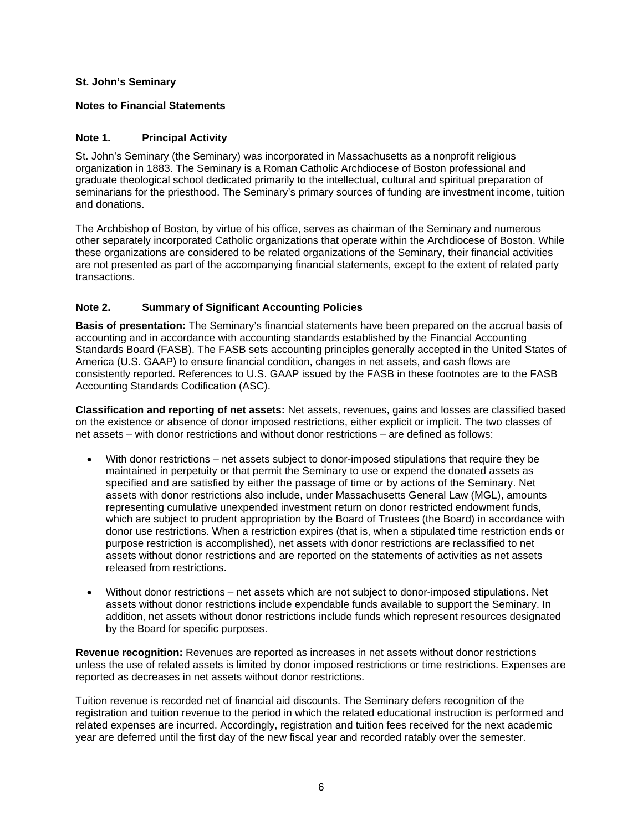## **Notes to Financial Statements**

## **Note 1. Principal Activity**

St. John's Seminary (the Seminary) was incorporated in Massachusetts as a nonprofit religious organization in 1883. The Seminary is a Roman Catholic Archdiocese of Boston professional and graduate theological school dedicated primarily to the intellectual, cultural and spiritual preparation of seminarians for the priesthood. The Seminary's primary sources of funding are investment income, tuition and donations.

The Archbishop of Boston, by virtue of his office, serves as chairman of the Seminary and numerous other separately incorporated Catholic organizations that operate within the Archdiocese of Boston. While these organizations are considered to be related organizations of the Seminary, their financial activities are not presented as part of the accompanying financial statements, except to the extent of related party transactions.

## **Note 2. Summary of Significant Accounting Policies**

**Basis of presentation:** The Seminary's financial statements have been prepared on the accrual basis of accounting and in accordance with accounting standards established by the Financial Accounting Standards Board (FASB). The FASB sets accounting principles generally accepted in the United States of America (U.S. GAAP) to ensure financial condition, changes in net assets, and cash flows are consistently reported. References to U.S. GAAP issued by the FASB in these footnotes are to the FASB Accounting Standards Codification (ASC).

**Classification and reporting of net assets:** Net assets, revenues, gains and losses are classified based on the existence or absence of donor imposed restrictions, either explicit or implicit. The two classes of net assets – with donor restrictions and without donor restrictions – are defined as follows:

- With donor restrictions net assets subject to donor-imposed stipulations that require they be maintained in perpetuity or that permit the Seminary to use or expend the donated assets as specified and are satisfied by either the passage of time or by actions of the Seminary. Net assets with donor restrictions also include, under Massachusetts General Law (MGL), amounts representing cumulative unexpended investment return on donor restricted endowment funds, which are subject to prudent appropriation by the Board of Trustees (the Board) in accordance with donor use restrictions. When a restriction expires (that is, when a stipulated time restriction ends or purpose restriction is accomplished), net assets with donor restrictions are reclassified to net assets without donor restrictions and are reported on the statements of activities as net assets released from restrictions.
- Without donor restrictions net assets which are not subject to donor-imposed stipulations. Net assets without donor restrictions include expendable funds available to support the Seminary. In addition, net assets without donor restrictions include funds which represent resources designated by the Board for specific purposes.

**Revenue recognition:** Revenues are reported as increases in net assets without donor restrictions unless the use of related assets is limited by donor imposed restrictions or time restrictions. Expenses are reported as decreases in net assets without donor restrictions.

Tuition revenue is recorded net of financial aid discounts. The Seminary defers recognition of the registration and tuition revenue to the period in which the related educational instruction is performed and related expenses are incurred. Accordingly, registration and tuition fees received for the next academic year are deferred until the first day of the new fiscal year and recorded ratably over the semester.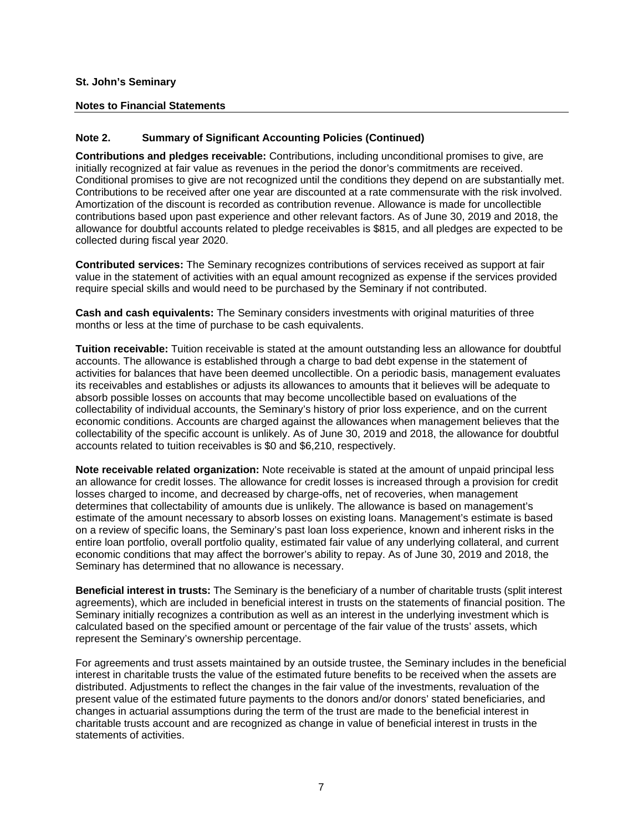### **Notes to Financial Statements**

## **Note 2. Summary of Significant Accounting Policies (Continued)**

**Contributions and pledges receivable:** Contributions, including unconditional promises to give, are initially recognized at fair value as revenues in the period the donor's commitments are received. Conditional promises to give are not recognized until the conditions they depend on are substantially met. Contributions to be received after one year are discounted at a rate commensurate with the risk involved. Amortization of the discount is recorded as contribution revenue. Allowance is made for uncollectible contributions based upon past experience and other relevant factors. As of June 30, 2019 and 2018, the allowance for doubtful accounts related to pledge receivables is \$815, and all pledges are expected to be collected during fiscal year 2020.

**Contributed services:** The Seminary recognizes contributions of services received as support at fair value in the statement of activities with an equal amount recognized as expense if the services provided require special skills and would need to be purchased by the Seminary if not contributed.

**Cash and cash equivalents:** The Seminary considers investments with original maturities of three months or less at the time of purchase to be cash equivalents.

**Tuition receivable:** Tuition receivable is stated at the amount outstanding less an allowance for doubtful accounts. The allowance is established through a charge to bad debt expense in the statement of activities for balances that have been deemed uncollectible. On a periodic basis, management evaluates its receivables and establishes or adjusts its allowances to amounts that it believes will be adequate to absorb possible losses on accounts that may become uncollectible based on evaluations of the collectability of individual accounts, the Seminary's history of prior loss experience, and on the current economic conditions. Accounts are charged against the allowances when management believes that the collectability of the specific account is unlikely. As of June 30, 2019 and 2018, the allowance for doubtful accounts related to tuition receivables is \$0 and \$6,210, respectively.

**Note receivable related organization:** Note receivable is stated at the amount of unpaid principal less an allowance for credit losses. The allowance for credit losses is increased through a provision for credit losses charged to income, and decreased by charge-offs, net of recoveries, when management determines that collectability of amounts due is unlikely. The allowance is based on management's estimate of the amount necessary to absorb losses on existing loans. Management's estimate is based on a review of specific loans, the Seminary's past loan loss experience, known and inherent risks in the entire loan portfolio, overall portfolio quality, estimated fair value of any underlying collateral, and current economic conditions that may affect the borrower's ability to repay. As of June 30, 2019 and 2018, the Seminary has determined that no allowance is necessary.

**Beneficial interest in trusts:** The Seminary is the beneficiary of a number of charitable trusts (split interest agreements), which are included in beneficial interest in trusts on the statements of financial position. The Seminary initially recognizes a contribution as well as an interest in the underlying investment which is calculated based on the specified amount or percentage of the fair value of the trusts' assets, which represent the Seminary's ownership percentage.

For agreements and trust assets maintained by an outside trustee, the Seminary includes in the beneficial interest in charitable trusts the value of the estimated future benefits to be received when the assets are distributed. Adjustments to reflect the changes in the fair value of the investments, revaluation of the present value of the estimated future payments to the donors and/or donors' stated beneficiaries, and changes in actuarial assumptions during the term of the trust are made to the beneficial interest in charitable trusts account and are recognized as change in value of beneficial interest in trusts in the statements of activities.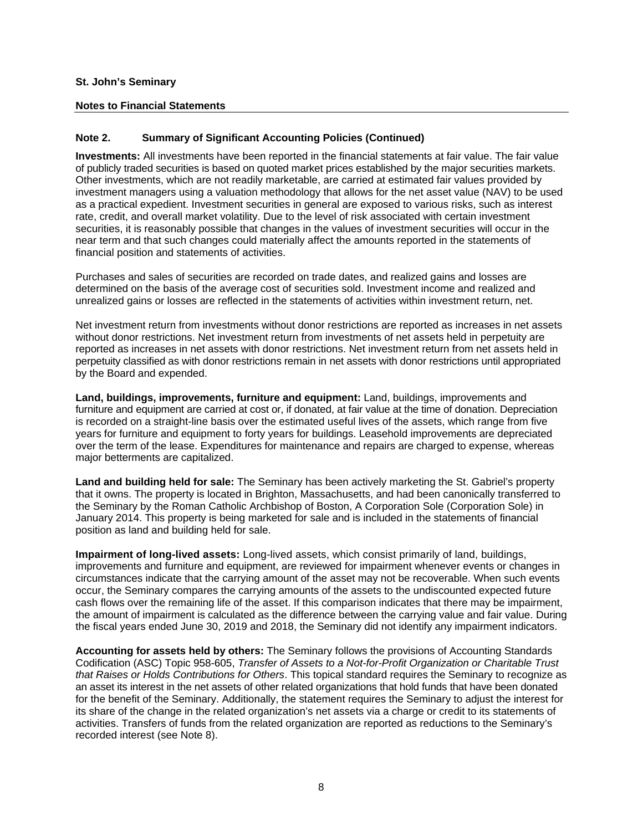### **Notes to Financial Statements**

## **Note 2. Summary of Significant Accounting Policies (Continued)**

**Investments:** All investments have been reported in the financial statements at fair value. The fair value of publicly traded securities is based on quoted market prices established by the major securities markets. Other investments, which are not readily marketable, are carried at estimated fair values provided by investment managers using a valuation methodology that allows for the net asset value (NAV) to be used as a practical expedient. Investment securities in general are exposed to various risks, such as interest rate, credit, and overall market volatility. Due to the level of risk associated with certain investment securities, it is reasonably possible that changes in the values of investment securities will occur in the near term and that such changes could materially affect the amounts reported in the statements of financial position and statements of activities.

Purchases and sales of securities are recorded on trade dates, and realized gains and losses are determined on the basis of the average cost of securities sold. Investment income and realized and unrealized gains or losses are reflected in the statements of activities within investment return, net.

Net investment return from investments without donor restrictions are reported as increases in net assets without donor restrictions. Net investment return from investments of net assets held in perpetuity are reported as increases in net assets with donor restrictions. Net investment return from net assets held in perpetuity classified as with donor restrictions remain in net assets with donor restrictions until appropriated by the Board and expended.

**Land, buildings, improvements, furniture and equipment:** Land, buildings, improvements and furniture and equipment are carried at cost or, if donated, at fair value at the time of donation. Depreciation is recorded on a straight-line basis over the estimated useful lives of the assets, which range from five years for furniture and equipment to forty years for buildings. Leasehold improvements are depreciated over the term of the lease. Expenditures for maintenance and repairs are charged to expense, whereas major betterments are capitalized.

**Land and building held for sale:** The Seminary has been actively marketing the St. Gabriel's property that it owns. The property is located in Brighton, Massachusetts, and had been canonically transferred to the Seminary by the Roman Catholic Archbishop of Boston, A Corporation Sole (Corporation Sole) in January 2014. This property is being marketed for sale and is included in the statements of financial position as land and building held for sale.

**Impairment of long-lived assets:** Long-lived assets, which consist primarily of land, buildings, improvements and furniture and equipment, are reviewed for impairment whenever events or changes in circumstances indicate that the carrying amount of the asset may not be recoverable. When such events occur, the Seminary compares the carrying amounts of the assets to the undiscounted expected future cash flows over the remaining life of the asset. If this comparison indicates that there may be impairment, the amount of impairment is calculated as the difference between the carrying value and fair value. During the fiscal years ended June 30, 2019 and 2018, the Seminary did not identify any impairment indicators.

**Accounting for assets held by others:** The Seminary follows the provisions of Accounting Standards Codification (ASC) Topic 958-605, *Transfer of Assets to a Not-for-Profit Organization or Charitable Trust that Raises or Holds Contributions for Others*. This topical standard requires the Seminary to recognize as an asset its interest in the net assets of other related organizations that hold funds that have been donated for the benefit of the Seminary. Additionally, the statement requires the Seminary to adjust the interest for its share of the change in the related organization's net assets via a charge or credit to its statements of activities. Transfers of funds from the related organization are reported as reductions to the Seminary's recorded interest (see Note 8).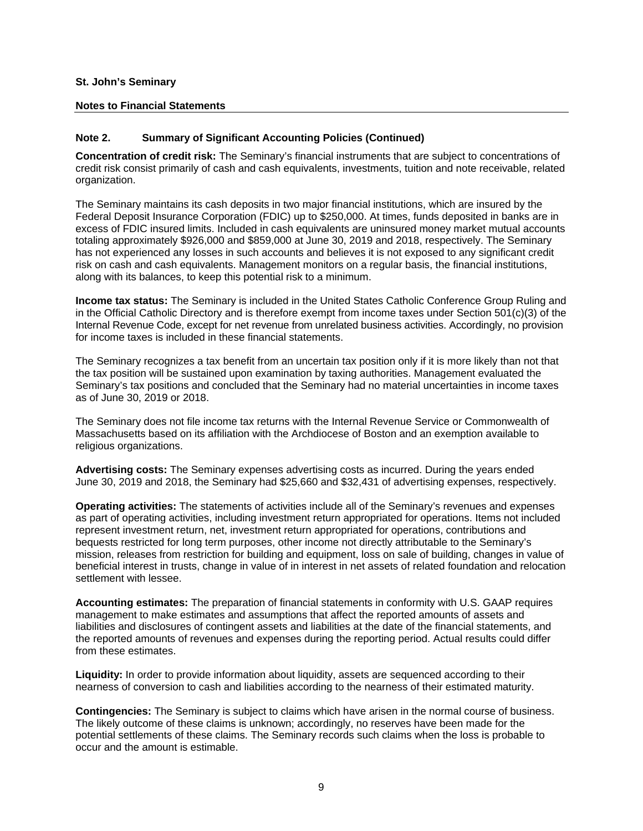#### **Notes to Financial Statements**

## **Note 2. Summary of Significant Accounting Policies (Continued)**

**Concentration of credit risk:** The Seminary's financial instruments that are subject to concentrations of credit risk consist primarily of cash and cash equivalents, investments, tuition and note receivable, related organization.

The Seminary maintains its cash deposits in two major financial institutions, which are insured by the Federal Deposit Insurance Corporation (FDIC) up to \$250,000. At times, funds deposited in banks are in excess of FDIC insured limits. Included in cash equivalents are uninsured money market mutual accounts totaling approximately \$926,000 and \$859,000 at June 30, 2019 and 2018, respectively. The Seminary has not experienced any losses in such accounts and believes it is not exposed to any significant credit risk on cash and cash equivalents. Management monitors on a regular basis, the financial institutions, along with its balances, to keep this potential risk to a minimum.

**Income tax status:** The Seminary is included in the United States Catholic Conference Group Ruling and in the Official Catholic Directory and is therefore exempt from income taxes under Section 501(c)(3) of the Internal Revenue Code, except for net revenue from unrelated business activities. Accordingly, no provision for income taxes is included in these financial statements.

The Seminary recognizes a tax benefit from an uncertain tax position only if it is more likely than not that the tax position will be sustained upon examination by taxing authorities. Management evaluated the Seminary's tax positions and concluded that the Seminary had no material uncertainties in income taxes as of June 30, 2019 or 2018.

The Seminary does not file income tax returns with the Internal Revenue Service or Commonwealth of Massachusetts based on its affiliation with the Archdiocese of Boston and an exemption available to religious organizations.

**Advertising costs:** The Seminary expenses advertising costs as incurred. During the years ended June 30, 2019 and 2018, the Seminary had \$25,660 and \$32,431 of advertising expenses, respectively.

**Operating activities:** The statements of activities include all of the Seminary's revenues and expenses as part of operating activities, including investment return appropriated for operations. Items not included represent investment return, net, investment return appropriated for operations, contributions and bequests restricted for long term purposes, other income not directly attributable to the Seminary's mission, releases from restriction for building and equipment, loss on sale of building, changes in value of beneficial interest in trusts, change in value of in interest in net assets of related foundation and relocation settlement with lessee.

**Accounting estimates:** The preparation of financial statements in conformity with U.S. GAAP requires management to make estimates and assumptions that affect the reported amounts of assets and liabilities and disclosures of contingent assets and liabilities at the date of the financial statements, and the reported amounts of revenues and expenses during the reporting period. Actual results could differ from these estimates.

**Liquidity:** In order to provide information about liquidity, assets are sequenced according to their nearness of conversion to cash and liabilities according to the nearness of their estimated maturity.

**Contingencies:** The Seminary is subject to claims which have arisen in the normal course of business. The likely outcome of these claims is unknown; accordingly, no reserves have been made for the potential settlements of these claims. The Seminary records such claims when the loss is probable to occur and the amount is estimable.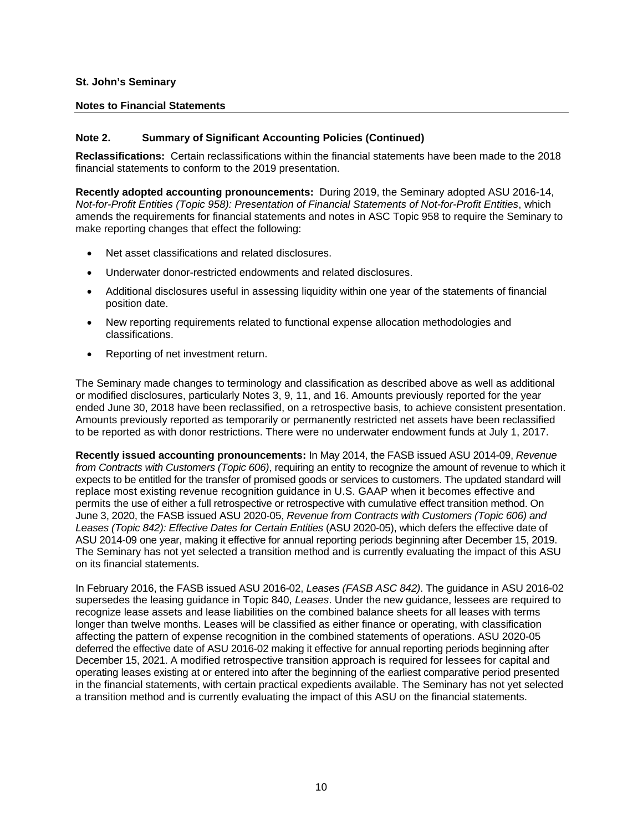#### **Notes to Financial Statements**

## **Note 2. Summary of Significant Accounting Policies (Continued)**

**Reclassifications:** Certain reclassifications within the financial statements have been made to the 2018 financial statements to conform to the 2019 presentation.

**Recently adopted accounting pronouncements:** During 2019, the Seminary adopted ASU 2016-14, *Not-for-Profit Entities (Topic 958): Presentation of Financial Statements of Not-for-Profit Entities*, which amends the requirements for financial statements and notes in ASC Topic 958 to require the Seminary to make reporting changes that effect the following:

- Net asset classifications and related disclosures.
- Underwater donor-restricted endowments and related disclosures.
- Additional disclosures useful in assessing liquidity within one year of the statements of financial position date.
- New reporting requirements related to functional expense allocation methodologies and classifications.
- Reporting of net investment return.

The Seminary made changes to terminology and classification as described above as well as additional or modified disclosures, particularly Notes 3, 9, 11, and 16. Amounts previously reported for the year ended June 30, 2018 have been reclassified, on a retrospective basis, to achieve consistent presentation. Amounts previously reported as temporarily or permanently restricted net assets have been reclassified to be reported as with donor restrictions. There were no underwater endowment funds at July 1, 2017.

**Recently issued accounting pronouncements:** In May 2014, the FASB issued ASU 2014-09, *Revenue from Contracts with Customers (Topic 606)*, requiring an entity to recognize the amount of revenue to which it expects to be entitled for the transfer of promised goods or services to customers. The updated standard will replace most existing revenue recognition guidance in U.S. GAAP when it becomes effective and permits the use of either a full retrospective or retrospective with cumulative effect transition method. On June 3, 2020, the FASB issued ASU 2020-05, *Revenue from Contracts with Customers (Topic 606) and*  Leases (Topic 842): Effective Dates for Certain Entities (ASU 2020-05), which defers the effective date of ASU 2014-09 one year, making it effective for annual reporting periods beginning after December 15, 2019. The Seminary has not yet selected a transition method and is currently evaluating the impact of this ASU on its financial statements.

In February 2016, the FASB issued ASU 2016-02, *Leases (FASB ASC 842)*. The guidance in ASU 2016-02 supersedes the leasing guidance in Topic 840, *Leases*. Under the new guidance, lessees are required to recognize lease assets and lease liabilities on the combined balance sheets for all leases with terms longer than twelve months. Leases will be classified as either finance or operating, with classification affecting the pattern of expense recognition in the combined statements of operations. ASU 2020-05 deferred the effective date of ASU 2016-02 making it effective for annual reporting periods beginning after December 15, 2021. A modified retrospective transition approach is required for lessees for capital and operating leases existing at or entered into after the beginning of the earliest comparative period presented in the financial statements, with certain practical expedients available. The Seminary has not yet selected a transition method and is currently evaluating the impact of this ASU on the financial statements.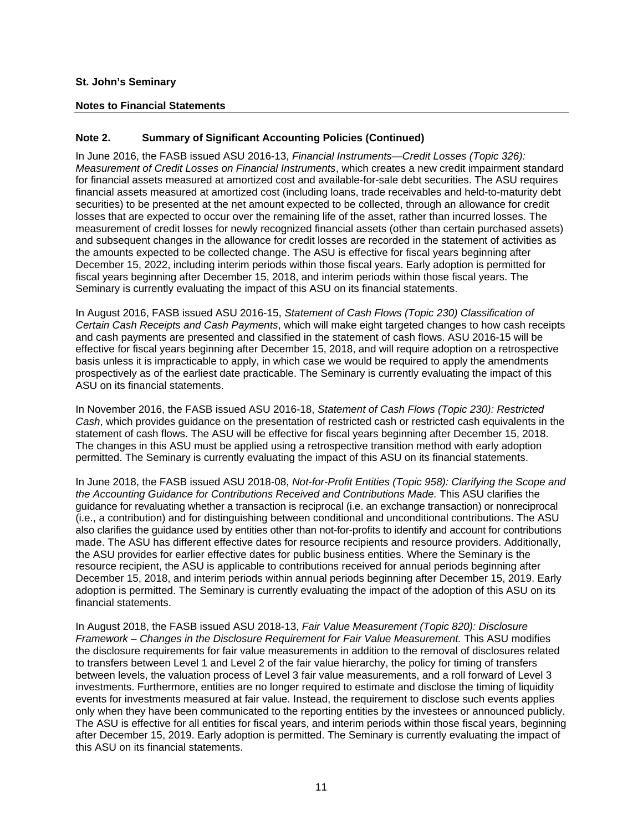### **Notes to Financial Statements**

## **Note 2. Summary of Significant Accounting Policies (Continued)**

In June 2016, the FASB issued ASU 2016-13, *Financial Instruments—Credit Losses (Topic 326): Measurement of Credit Losses on Financial Instruments*, which creates a new credit impairment standard for financial assets measured at amortized cost and available-for-sale debt securities. The ASU requires financial assets measured at amortized cost (including loans, trade receivables and held-to-maturity debt securities) to be presented at the net amount expected to be collected, through an allowance for credit losses that are expected to occur over the remaining life of the asset, rather than incurred losses. The measurement of credit losses for newly recognized financial assets (other than certain purchased assets) and subsequent changes in the allowance for credit losses are recorded in the statement of activities as the amounts expected to be collected change. The ASU is effective for fiscal years beginning after December 15, 2022, including interim periods within those fiscal years. Early adoption is permitted for fiscal years beginning after December 15, 2018, and interim periods within those fiscal years. The Seminary is currently evaluating the impact of this ASU on its financial statements.

In August 2016, FASB issued ASU 2016-15, *Statement of Cash Flows (Topic 230) Classification of Certain Cash Receipts and Cash Payments*, which will make eight targeted changes to how cash receipts and cash payments are presented and classified in the statement of cash flows. ASU 2016-15 will be effective for fiscal years beginning after December 15, 2018, and will require adoption on a retrospective basis unless it is impracticable to apply, in which case we would be required to apply the amendments prospectively as of the earliest date practicable. The Seminary is currently evaluating the impact of this ASU on its financial statements.

In November 2016, the FASB issued ASU 2016-18, *Statement of Cash Flows (Topic 230): Restricted Cash*, which provides guidance on the presentation of restricted cash or restricted cash equivalents in the statement of cash flows. The ASU will be effective for fiscal years beginning after December 15, 2018. The changes in this ASU must be applied using a retrospective transition method with early adoption permitted. The Seminary is currently evaluating the impact of this ASU on its financial statements.

In June 2018, the FASB issued ASU 2018-08, *Not-for-Profit Entities (Topic 958): Clarifying the Scope and the Accounting Guidance for Contributions Received and Contributions Made.* This ASU clarifies the guidance for revaluating whether a transaction is reciprocal (i.e. an exchange transaction) or nonreciprocal (i.e., a contribution) and for distinguishing between conditional and unconditional contributions. The ASU also clarifies the guidance used by entities other than not-for-profits to identify and account for contributions made. The ASU has different effective dates for resource recipients and resource providers. Additionally, the ASU provides for earlier effective dates for public business entities. Where the Seminary is the resource recipient, the ASU is applicable to contributions received for annual periods beginning after December 15, 2018, and interim periods within annual periods beginning after December 15, 2019. Early adoption is permitted. The Seminary is currently evaluating the impact of the adoption of this ASU on its financial statements.

In August 2018, the FASB issued ASU 2018-13, *Fair Value Measurement (Topic 820): Disclosure Framework – Changes in the Disclosure Requirement for Fair Value Measurement.* This ASU modifies the disclosure requirements for fair value measurements in addition to the removal of disclosures related to transfers between Level 1 and Level 2 of the fair value hierarchy, the policy for timing of transfers between levels, the valuation process of Level 3 fair value measurements, and a roll forward of Level 3 investments. Furthermore, entities are no longer required to estimate and disclose the timing of liquidity events for investments measured at fair value. Instead, the requirement to disclose such events applies only when they have been communicated to the reporting entities by the investees or announced publicly. The ASU is effective for all entities for fiscal years, and interim periods within those fiscal years, beginning after December 15, 2019. Early adoption is permitted. The Seminary is currently evaluating the impact of this ASU on its financial statements.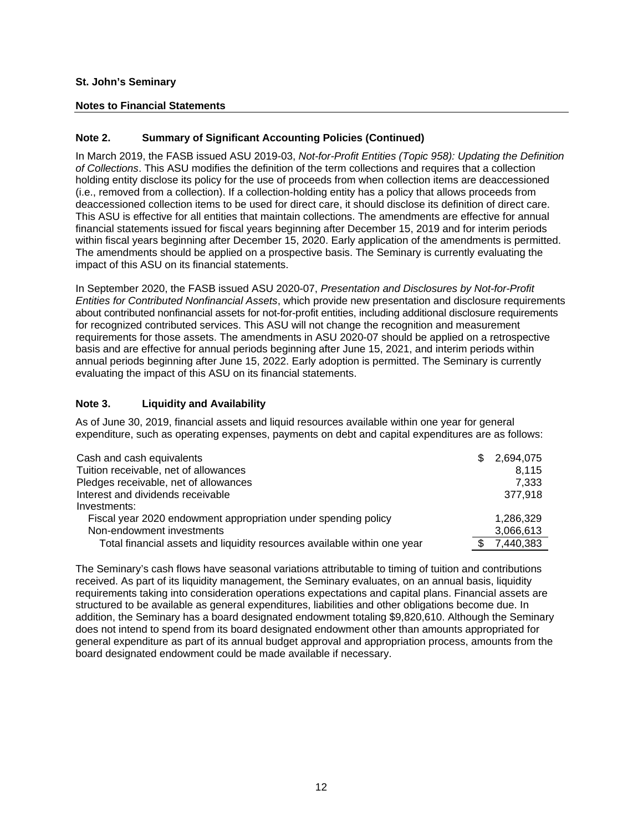### **Notes to Financial Statements**

## **Note 2. Summary of Significant Accounting Policies (Continued)**

In March 2019, the FASB issued ASU 2019-03, *Not-for-Profit Entities (Topic 958): Updating the Definition of Collections*. This ASU modifies the definition of the term collections and requires that a collection holding entity disclose its policy for the use of proceeds from when collection items are deaccessioned (i.e., removed from a collection). If a collection-holding entity has a policy that allows proceeds from deaccessioned collection items to be used for direct care, it should disclose its definition of direct care. This ASU is effective for all entities that maintain collections. The amendments are effective for annual financial statements issued for fiscal years beginning after December 15, 2019 and for interim periods within fiscal years beginning after December 15, 2020. Early application of the amendments is permitted. The amendments should be applied on a prospective basis. The Seminary is currently evaluating the impact of this ASU on its financial statements.

In September 2020, the FASB issued ASU 2020-07, *Presentation and Disclosures by Not-for-Profit Entities for Contributed Nonfinancial Assets*, which provide new presentation and disclosure requirements about contributed nonfinancial assets for not-for-profit entities, including additional disclosure requirements for recognized contributed services. This ASU will not change the recognition and measurement requirements for those assets. The amendments in ASU 2020-07 should be applied on a retrospective basis and are effective for annual periods beginning after June 15, 2021, and interim periods within annual periods beginning after June 15, 2022. Early adoption is permitted. The Seminary is currently evaluating the impact of this ASU on its financial statements.

## **Note 3. Liquidity and Availability**

As of June 30, 2019, financial assets and liquid resources available within one year for general expenditure, such as operating expenses, payments on debt and capital expenditures are as follows:

| Cash and cash equivalents                                                | \$<br>2,694,075 |
|--------------------------------------------------------------------------|-----------------|
| Tuition receivable, net of allowances                                    | 8.115           |
| Pledges receivable, net of allowances                                    | 7.333           |
| Interest and dividends receivable                                        | 377.918         |
| Investments:                                                             |                 |
| Fiscal year 2020 endowment appropriation under spending policy           | 1,286,329       |
| Non-endowment investments                                                | 3,066,613       |
| Total financial assets and liquidity resources available within one year | 7,440,383       |

The Seminary's cash flows have seasonal variations attributable to timing of tuition and contributions received. As part of its liquidity management, the Seminary evaluates, on an annual basis, liquidity requirements taking into consideration operations expectations and capital plans. Financial assets are structured to be available as general expenditures, liabilities and other obligations become due. In addition, the Seminary has a board designated endowment totaling \$9,820,610. Although the Seminary does not intend to spend from its board designated endowment other than amounts appropriated for general expenditure as part of its annual budget approval and appropriation process, amounts from the board designated endowment could be made available if necessary.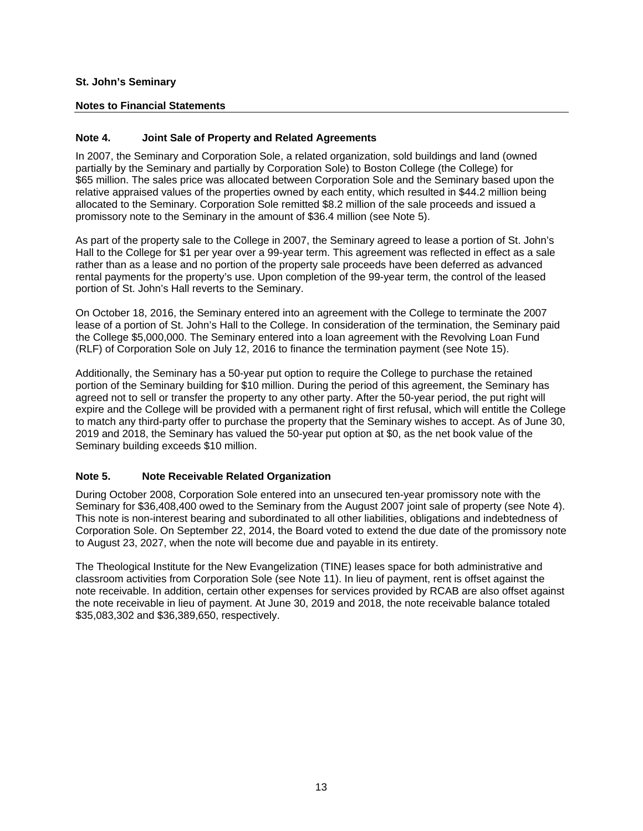## **Notes to Financial Statements**

## **Note 4. Joint Sale of Property and Related Agreements**

In 2007, the Seminary and Corporation Sole, a related organization, sold buildings and land (owned partially by the Seminary and partially by Corporation Sole) to Boston College (the College) for \$65 million. The sales price was allocated between Corporation Sole and the Seminary based upon the relative appraised values of the properties owned by each entity, which resulted in \$44.2 million being allocated to the Seminary. Corporation Sole remitted \$8.2 million of the sale proceeds and issued a promissory note to the Seminary in the amount of \$36.4 million (see Note 5).

As part of the property sale to the College in 2007, the Seminary agreed to lease a portion of St. John's Hall to the College for \$1 per year over a 99-year term. This agreement was reflected in effect as a sale rather than as a lease and no portion of the property sale proceeds have been deferred as advanced rental payments for the property's use. Upon completion of the 99-year term, the control of the leased portion of St. John's Hall reverts to the Seminary.

On October 18, 2016, the Seminary entered into an agreement with the College to terminate the 2007 lease of a portion of St. John's Hall to the College. In consideration of the termination, the Seminary paid the College \$5,000,000. The Seminary entered into a loan agreement with the Revolving Loan Fund (RLF) of Corporation Sole on July 12, 2016 to finance the termination payment (see Note 15).

Additionally, the Seminary has a 50-year put option to require the College to purchase the retained portion of the Seminary building for \$10 million. During the period of this agreement, the Seminary has agreed not to sell or transfer the property to any other party. After the 50-year period, the put right will expire and the College will be provided with a permanent right of first refusal, which will entitle the College to match any third-party offer to purchase the property that the Seminary wishes to accept. As of June 30, 2019 and 2018, the Seminary has valued the 50-year put option at \$0, as the net book value of the Seminary building exceeds \$10 million.

## **Note 5. Note Receivable Related Organization**

During October 2008, Corporation Sole entered into an unsecured ten-year promissory note with the Seminary for \$36,408,400 owed to the Seminary from the August 2007 joint sale of property (see Note 4). This note is non-interest bearing and subordinated to all other liabilities, obligations and indebtedness of Corporation Sole. On September 22, 2014, the Board voted to extend the due date of the promissory note to August 23, 2027, when the note will become due and payable in its entirety.

The Theological Institute for the New Evangelization (TINE) leases space for both administrative and classroom activities from Corporation Sole (see Note 11). In lieu of payment, rent is offset against the note receivable. In addition, certain other expenses for services provided by RCAB are also offset against the note receivable in lieu of payment. At June 30, 2019 and 2018, the note receivable balance totaled \$35,083,302 and \$36,389,650, respectively.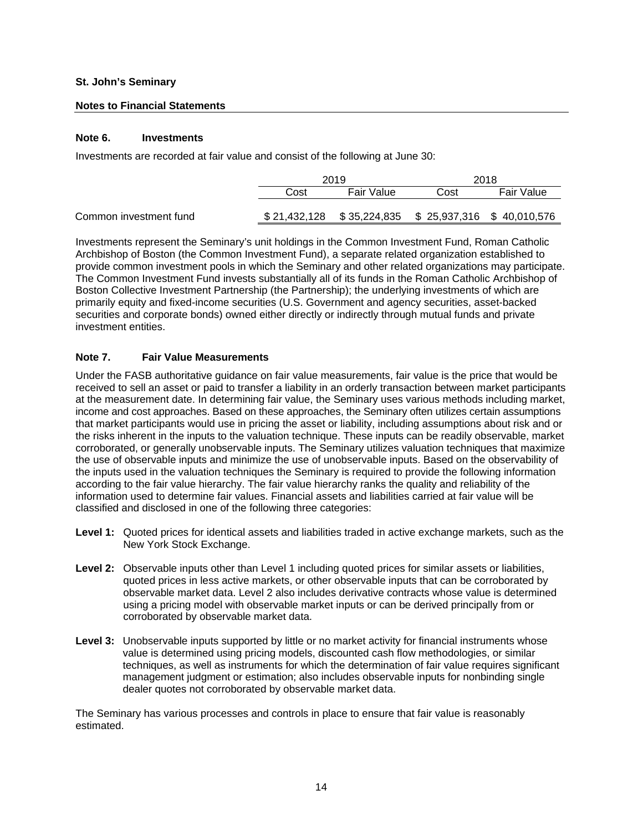### **Notes to Financial Statements**

## **Note 6. Investments**

Investments are recorded at fair value and consist of the following at June 30:

|                        |      | 2019       | 2018                                                    |            |  |  |
|------------------------|------|------------|---------------------------------------------------------|------------|--|--|
|                        | Cost | Fair Value | Cost                                                    | Fair Value |  |  |
| Common investment fund |      |            | $$21,432,128$ $$35,224,835$ $$25,937,316$ $$40,010,576$ |            |  |  |

Investments represent the Seminary's unit holdings in the Common Investment Fund, Roman Catholic Archbishop of Boston (the Common Investment Fund), a separate related organization established to provide common investment pools in which the Seminary and other related organizations may participate. The Common Investment Fund invests substantially all of its funds in the Roman Catholic Archbishop of Boston Collective Investment Partnership (the Partnership); the underlying investments of which are primarily equity and fixed-income securities (U.S. Government and agency securities, asset-backed securities and corporate bonds) owned either directly or indirectly through mutual funds and private investment entities.

## **Note 7. Fair Value Measurements**

Under the FASB authoritative guidance on fair value measurements, fair value is the price that would be received to sell an asset or paid to transfer a liability in an orderly transaction between market participants at the measurement date. In determining fair value, the Seminary uses various methods including market, income and cost approaches. Based on these approaches, the Seminary often utilizes certain assumptions that market participants would use in pricing the asset or liability, including assumptions about risk and or the risks inherent in the inputs to the valuation technique. These inputs can be readily observable, market corroborated, or generally unobservable inputs. The Seminary utilizes valuation techniques that maximize the use of observable inputs and minimize the use of unobservable inputs. Based on the observability of the inputs used in the valuation techniques the Seminary is required to provide the following information according to the fair value hierarchy. The fair value hierarchy ranks the quality and reliability of the information used to determine fair values. Financial assets and liabilities carried at fair value will be classified and disclosed in one of the following three categories:

- **Level 1:** Quoted prices for identical assets and liabilities traded in active exchange markets, such as the New York Stock Exchange.
- **Level 2:** Observable inputs other than Level 1 including quoted prices for similar assets or liabilities, quoted prices in less active markets, or other observable inputs that can be corroborated by observable market data. Level 2 also includes derivative contracts whose value is determined using a pricing model with observable market inputs or can be derived principally from or corroborated by observable market data.
- Level 3: Unobservable inputs supported by little or no market activity for financial instruments whose value is determined using pricing models, discounted cash flow methodologies, or similar techniques, as well as instruments for which the determination of fair value requires significant management judgment or estimation; also includes observable inputs for nonbinding single dealer quotes not corroborated by observable market data.

The Seminary has various processes and controls in place to ensure that fair value is reasonably estimated.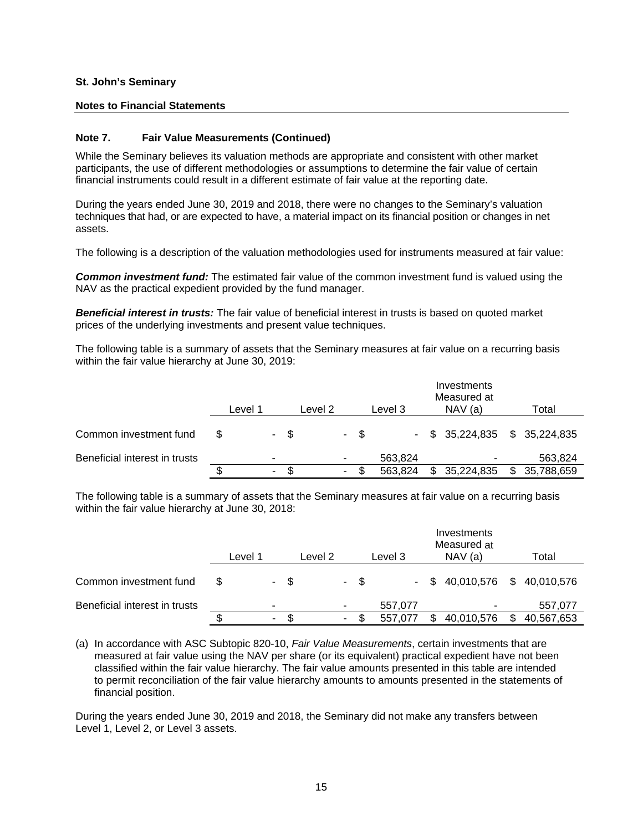#### **Notes to Financial Statements**

#### **Note 7. Fair Value Measurements (Continued)**

While the Seminary believes its valuation methods are appropriate and consistent with other market participants, the use of different methodologies or assumptions to determine the fair value of certain financial instruments could result in a different estimate of fair value at the reporting date.

During the years ended June 30, 2019 and 2018, there were no changes to the Seminary's valuation techniques that had, or are expected to have, a material impact on its financial position or changes in net assets.

The following is a description of the valuation methodologies used for instruments measured at fair value:

*Common investment fund:* The estimated fair value of the common investment fund is valued using the NAV as the practical expedient provided by the fund manager.

*Beneficial interest in trusts:* The fair value of beneficial interest in trusts is based on quoted market prices of the underlying investments and present value techniques.

The following table is a summary of assets that the Seminary measures at fair value on a recurring basis within the fair value hierarchy at June 30, 2019:

|                               |   | Level 1 |    |      | Level 2 |    |      | Level 3 | Investments<br>Measured at<br>NAV(a) | Total            |
|-------------------------------|---|---------|----|------|---------|----|------|---------|--------------------------------------|------------------|
| Common investment fund        | S |         |    | - \$ |         |    | - \$ |         | $-$ \$ 35,224,835 \$ 35,224,835      |                  |
| Beneficial interest in trusts |   |         | ۰  |      |         | ۰  |      | 563,824 |                                      | 563,824          |
|                               |   |         | ۰. |      |         | ۰. |      | 563,824 | 35,224,835                           | \$<br>35,788,659 |

The following table is a summary of assets that the Seminary measures at fair value on a recurring basis within the fair value hierarchy at June 30, 2018:

|                               |   | Level 1 |   |      | Level 2 |    |      | Level 3 | Investments<br>Measured at<br>NAV(a) | Total            |
|-------------------------------|---|---------|---|------|---------|----|------|---------|--------------------------------------|------------------|
| Common investment fund        | S |         |   | - \$ |         |    | - \$ |         | $-$ \$ 40,010,576 \$ 40,010,576      |                  |
| Beneficial interest in trusts |   |         | ۰ |      |         | ۰  |      | 557,077 | $\overline{\phantom{a}}$             | 557,077          |
|                               |   |         | ۰ | S    |         | ۰. |      | 557,077 | 40,010,576                           | \$<br>40,567,653 |

(a) In accordance with ASC Subtopic 820-10, *Fair Value Measurements*, certain investments that are measured at fair value using the NAV per share (or its equivalent) practical expedient have not been classified within the fair value hierarchy. The fair value amounts presented in this table are intended to permit reconciliation of the fair value hierarchy amounts to amounts presented in the statements of financial position.

During the years ended June 30, 2019 and 2018, the Seminary did not make any transfers between Level 1, Level 2, or Level 3 assets.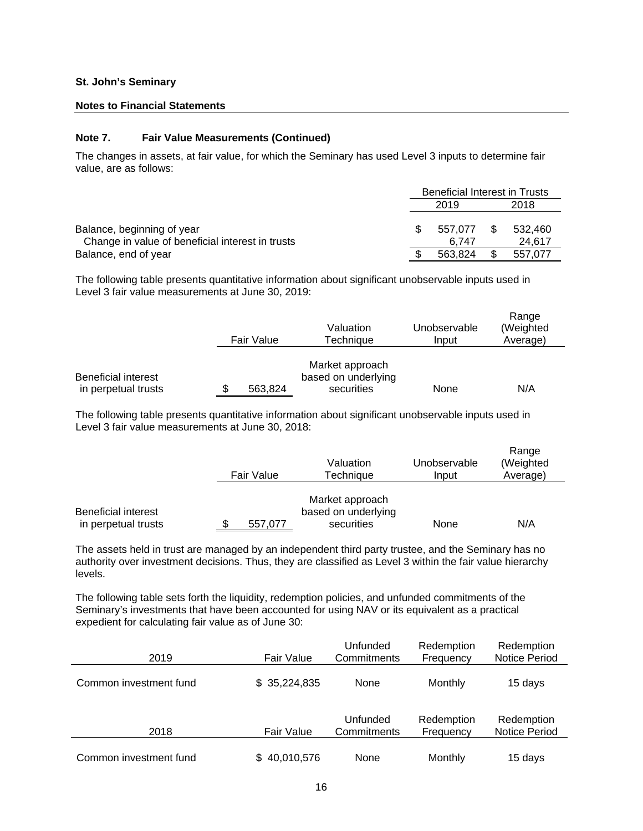#### **Notes to Financial Statements**

#### **Note 7. Fair Value Measurements (Continued)**

The changes in assets, at fair value, for which the Seminary has used Level 3 inputs to determine fair value, are as follows:

|                                                  |              | <b>Beneficial Interest in Trusts</b> |      |         |  |
|--------------------------------------------------|--------------|--------------------------------------|------|---------|--|
|                                                  | 2019<br>2018 |                                      |      |         |  |
|                                                  |              |                                      |      |         |  |
| Balance, beginning of year                       |              | 557.077                              | - \$ | 532.460 |  |
| Change in value of beneficial interest in trusts |              | 6.747                                |      | 24.617  |  |
| Balance, end of year                             |              | 563.824                              | \$   | 557.077 |  |

The following table presents quantitative information about significant unobservable inputs used in Level 3 fair value measurements at June 30, 2019:

|                                                   | Fair Value | Valuation<br>Techniaue                               | Unobservable<br>Input | Range<br>(Weighted<br>Average) |
|---------------------------------------------------|------------|------------------------------------------------------|-----------------------|--------------------------------|
| <b>Beneficial interest</b><br>in perpetual trusts | 563.824    | Market approach<br>based on underlying<br>securities | None                  | N/A                            |

The following table presents quantitative information about significant unobservable inputs used in Level 3 fair value measurements at June 30, 2018:

|                                            | Fair Value | Valuation<br>Technique                               | Unobservable<br>Input | Range<br>(Weighted<br>Average) |
|--------------------------------------------|------------|------------------------------------------------------|-----------------------|--------------------------------|
| Beneficial interest<br>in perpetual trusts | 557,077    | Market approach<br>based on underlying<br>securities | None                  | N/A                            |

The assets held in trust are managed by an independent third party trustee, and the Seminary has no authority over investment decisions. Thus, they are classified as Level 3 within the fair value hierarchy levels.

The following table sets forth the liquidity, redemption policies, and unfunded commitments of the Seminary's investments that have been accounted for using NAV or its equivalent as a practical expedient for calculating fair value as of June 30:

| 2019                   | Fair Value   | Unfunded<br>Commitments | Redemption<br>Frequency | Redemption<br><b>Notice Period</b> |
|------------------------|--------------|-------------------------|-------------------------|------------------------------------|
| Common investment fund | \$35,224,835 | None                    | Monthly                 | 15 days                            |
| 2018                   | Fair Value   | Unfunded<br>Commitments | Redemption<br>Frequency | Redemption<br><b>Notice Period</b> |
| Common investment fund | \$40,010,576 | None                    | Monthly                 | 15 days                            |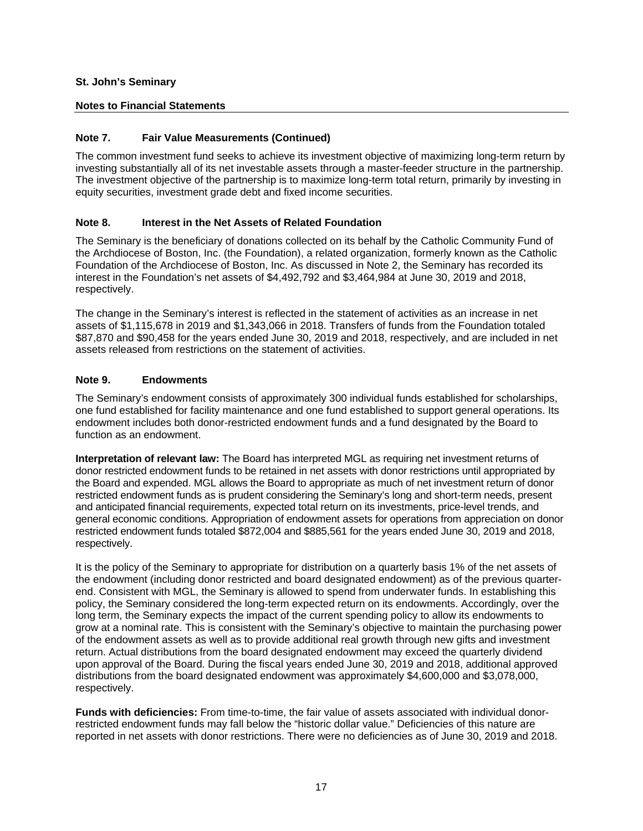## **Notes to Financial Statements**

## **Note 7. Fair Value Measurements (Continued)**

The common investment fund seeks to achieve its investment objective of maximizing long-term return by investing substantially all of its net investable assets through a master-feeder structure in the partnership. The investment objective of the partnership is to maximize long-term total return, primarily by investing in equity securities, investment grade debt and fixed income securities.

## **Note 8. Interest in the Net Assets of Related Foundation**

The Seminary is the beneficiary of donations collected on its behalf by the Catholic Community Fund of the Archdiocese of Boston, Inc. (the Foundation), a related organization, formerly known as the Catholic Foundation of the Archdiocese of Boston, Inc. As discussed in Note 2, the Seminary has recorded its interest in the Foundation's net assets of \$4,492,792 and \$3,464,984 at June 30, 2019 and 2018, respectively.

The change in the Seminary's interest is reflected in the statement of activities as an increase in net assets of \$1,115,678 in 2019 and \$1,343,066 in 2018. Transfers of funds from the Foundation totaled \$87,870 and \$90,458 for the years ended June 30, 2019 and 2018, respectively, and are included in net assets released from restrictions on the statement of activities.

## **Note 9. Endowments**

The Seminary's endowment consists of approximately 300 individual funds established for scholarships, one fund established for facility maintenance and one fund established to support general operations. Its endowment includes both donor-restricted endowment funds and a fund designated by the Board to function as an endowment.

**Interpretation of relevant law:** The Board has interpreted MGL as requiring net investment returns of donor restricted endowment funds to be retained in net assets with donor restrictions until appropriated by the Board and expended. MGL allows the Board to appropriate as much of net investment return of donor restricted endowment funds as is prudent considering the Seminary's long and short-term needs, present and anticipated financial requirements, expected total return on its investments, price-level trends, and general economic conditions. Appropriation of endowment assets for operations from appreciation on donor restricted endowment funds totaled \$872,004 and \$885,561 for the years ended June 30, 2019 and 2018, respectively.

It is the policy of the Seminary to appropriate for distribution on a quarterly basis 1% of the net assets of the endowment (including donor restricted and board designated endowment) as of the previous quarterend. Consistent with MGL, the Seminary is allowed to spend from underwater funds. In establishing this policy, the Seminary considered the long-term expected return on its endowments. Accordingly, over the long term, the Seminary expects the impact of the current spending policy to allow its endowments to grow at a nominal rate. This is consistent with the Seminary's objective to maintain the purchasing power of the endowment assets as well as to provide additional real growth through new gifts and investment return. Actual distributions from the board designated endowment may exceed the quarterly dividend upon approval of the Board. During the fiscal years ended June 30, 2019 and 2018, additional approved distributions from the board designated endowment was approximately \$4,600,000 and \$3,078,000, respectively.

**Funds with deficiencies:** From time-to-time, the fair value of assets associated with individual donorrestricted endowment funds may fall below the "historic dollar value." Deficiencies of this nature are reported in net assets with donor restrictions. There were no deficiencies as of June 30, 2019 and 2018.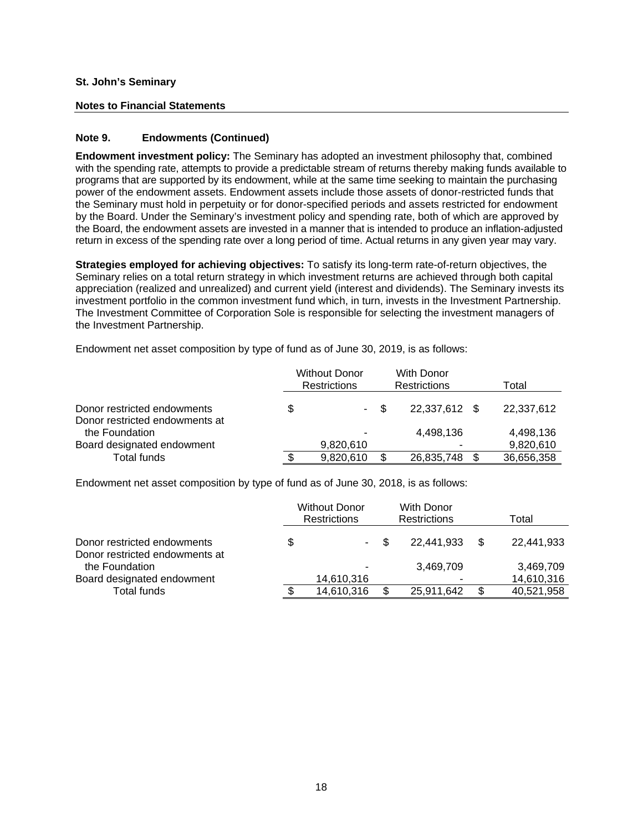#### **Notes to Financial Statements**

## **Note 9. Endowments (Continued)**

**Endowment investment policy:** The Seminary has adopted an investment philosophy that, combined with the spending rate, attempts to provide a predictable stream of returns thereby making funds available to programs that are supported by its endowment, while at the same time seeking to maintain the purchasing power of the endowment assets. Endowment assets include those assets of donor-restricted funds that the Seminary must hold in perpetuity or for donor-specified periods and assets restricted for endowment by the Board. Under the Seminary's investment policy and spending rate, both of which are approved by the Board, the endowment assets are invested in a manner that is intended to produce an inflation-adjusted return in excess of the spending rate over a long period of time. Actual returns in any given year may vary.

**Strategies employed for achieving objectives:** To satisfy its long-term rate-of-return objectives, the Seminary relies on a total return strategy in which investment returns are achieved through both capital appreciation (realized and unrealized) and current yield (interest and dividends). The Seminary invests its investment portfolio in the common investment fund which, in turn, invests in the Investment Partnership. The Investment Committee of Corporation Sole is responsible for selecting the investment managers of the Investment Partnership.

Endowment net asset composition by type of fund as of June 30, 2019, is as follows:

|                                                               | <b>Without Donor</b><br>With Donor<br>Restrictions<br><b>Restrictions</b> |      |               | Total |            |  |
|---------------------------------------------------------------|---------------------------------------------------------------------------|------|---------------|-------|------------|--|
| Donor restricted endowments<br>Donor restricted endowments at |                                                                           | - \$ | 22,337,612 \$ |       | 22,337,612 |  |
| the Foundation                                                |                                                                           |      | 4,498,136     |       | 4,498,136  |  |
| Board designated endowment                                    | 9,820,610                                                                 |      |               |       | 9,820,610  |  |
| Total funds                                                   | 9,820,610                                                                 |      | 26,835,748    |       | 36,656,358 |  |

Endowment net asset composition by type of fund as of June 30, 2018, is as follows:

|                                                  | <b>Without Donor</b><br><b>Restrictions</b> | With Donor<br>Restrictions | Total      |     |            |
|--------------------------------------------------|---------------------------------------------|----------------------------|------------|-----|------------|
| Donor restricted endowments                      | \$<br>н.                                    |                            | 22.441.933 | \$. | 22,441,933 |
| Donor restricted endowments at<br>the Foundation |                                             |                            | 3,469,709  |     | 3,469,709  |
| Board designated endowment                       | 14,610,316                                  |                            |            |     | 14,610,316 |
| Total funds                                      | 14,610,316                                  |                            | 25,911,642 | £.  | 40,521,958 |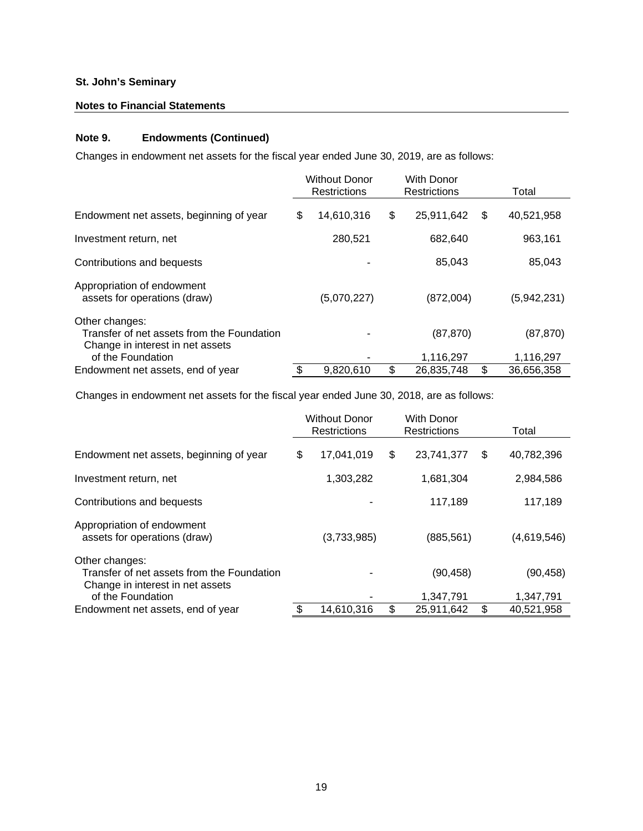## **Notes to Financial Statements**

# **Note 9. Endowments (Continued)**

Changes in endowment net assets for the fiscal year ended June 30, 2019, are as follows:

|                                                                                                                       | <b>Without Donor</b><br><b>With Donor</b><br><b>Restrictions</b><br><b>Restrictions</b> |             | Total                  |                        |
|-----------------------------------------------------------------------------------------------------------------------|-----------------------------------------------------------------------------------------|-------------|------------------------|------------------------|
| Endowment net assets, beginning of year                                                                               | \$                                                                                      | 14,610,316  | \$<br>25,911,642       | \$<br>40,521,958       |
| Investment return, net                                                                                                |                                                                                         | 280,521     | 682,640                | 963,161                |
| Contributions and bequests                                                                                            |                                                                                         |             | 85,043                 | 85,043                 |
| Appropriation of endowment<br>assets for operations (draw)                                                            |                                                                                         | (5,070,227) | (872,004)              | (5,942,231)            |
| Other changes:<br>Transfer of net assets from the Foundation<br>Change in interest in net assets<br>of the Foundation |                                                                                         |             | (87, 870)<br>1,116,297 | (87, 870)<br>1,116,297 |
| Endowment net assets, end of year                                                                                     | \$                                                                                      | 9,820,610   | \$<br>26.835.748       | \$<br>36,656,358       |

Changes in endowment net assets for the fiscal year ended June 30, 2018, are as follows:

|                                                                                                                       | <b>Without Donor</b><br><b>With Donor</b><br>Restrictions<br>Restrictions |             |    | Total                  |    |                       |
|-----------------------------------------------------------------------------------------------------------------------|---------------------------------------------------------------------------|-------------|----|------------------------|----|-----------------------|
| Endowment net assets, beginning of year                                                                               | \$                                                                        | 17,041,019  | \$ | 23,741,377             | S  | 40,782,396            |
| Investment return, net                                                                                                |                                                                           | 1,303,282   |    | 1,681,304              |    | 2,984,586             |
| Contributions and bequests                                                                                            |                                                                           |             |    | 117,189                |    | 117,189               |
| Appropriation of endowment<br>assets for operations (draw)                                                            |                                                                           | (3,733,985) |    | (885, 561)             |    | (4,619,546)           |
| Other changes:<br>Transfer of net assets from the Foundation<br>Change in interest in net assets<br>of the Foundation |                                                                           |             |    | (90, 458)<br>1,347,791 |    | (90,458)<br>1,347,791 |
| Endowment net assets, end of year                                                                                     | \$                                                                        | 14,610,316  | \$ | 25,911,642             | \$ | 40,521,958            |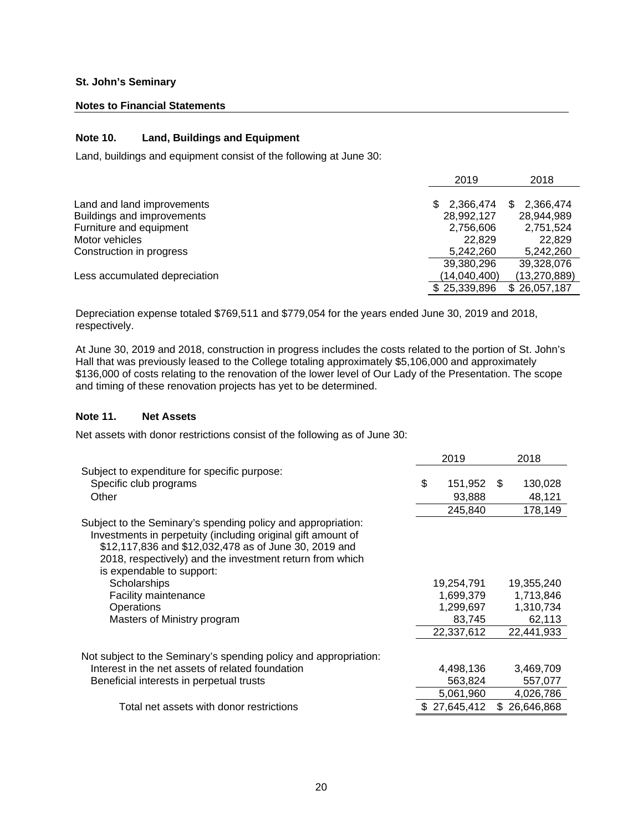#### **Notes to Financial Statements**

## **Note 10. Land, Buildings and Equipment**

Land, buildings and equipment consist of the following at June 30:

|                               | 2019            | 2018           |
|-------------------------------|-----------------|----------------|
|                               |                 |                |
| Land and land improvements    | 2,366,474<br>S. | 2,366,474      |
| Buildings and improvements    | 28,992,127      | 28,944,989     |
| Furniture and equipment       | 2,756,606       | 2,751,524      |
| Motor vehicles                | 22.829          | 22,829         |
| Construction in progress      | 5,242,260       | 5,242,260      |
|                               | 39,380,296      | 39,328,076     |
| Less accumulated depreciation | (14,040,400)    | (13, 270, 889) |
|                               | \$25,339,896    | \$26,057,187   |

Depreciation expense totaled \$769,511 and \$779,054 for the years ended June 30, 2019 and 2018, respectively.

At June 30, 2019 and 2018, construction in progress includes the costs related to the portion of St. John's Hall that was previously leased to the College totaling approximately \$5,106,000 and approximately \$136,000 of costs relating to the renovation of the lower level of Our Lady of the Presentation. The scope and timing of these renovation projects has yet to be determined.

#### **Note 11. Net Assets**

Net assets with donor restrictions consist of the following as of June 30:

|                                                                                                                                                                                                                                                                                | 2019          |     | 2018       |
|--------------------------------------------------------------------------------------------------------------------------------------------------------------------------------------------------------------------------------------------------------------------------------|---------------|-----|------------|
| Subject to expenditure for specific purpose:                                                                                                                                                                                                                                   |               |     |            |
| Specific club programs                                                                                                                                                                                                                                                         | \$<br>151,952 | \$  | 130,028    |
| Other                                                                                                                                                                                                                                                                          | 93,888        |     | 48,121     |
|                                                                                                                                                                                                                                                                                | 245,840       |     | 178,149    |
| Subject to the Seminary's spending policy and appropriation:<br>Investments in perpetuity (including original gift amount of<br>\$12,117,836 and \$12,032,478 as of June 30, 2019 and<br>2018, respectively) and the investment return from which<br>is expendable to support: |               |     |            |
| Scholarships                                                                                                                                                                                                                                                                   | 19,254,791    |     | 19,355,240 |
| Facility maintenance                                                                                                                                                                                                                                                           | 1,699,379     |     | 1,713,846  |
| <b>Operations</b>                                                                                                                                                                                                                                                              | 1,299,697     |     | 1,310,734  |
| Masters of Ministry program                                                                                                                                                                                                                                                    | 83,745        |     | 62,113     |
|                                                                                                                                                                                                                                                                                | 22,337,612    |     | 22,441,933 |
| Not subject to the Seminary's spending policy and appropriation:                                                                                                                                                                                                               |               |     |            |
| Interest in the net assets of related foundation                                                                                                                                                                                                                               | 4,498,136     |     | 3,469,709  |
| Beneficial interests in perpetual trusts                                                                                                                                                                                                                                       | 563,824       |     | 557,077    |
|                                                                                                                                                                                                                                                                                | 5,061,960     |     | 4,026,786  |
| Total net assets with donor restrictions                                                                                                                                                                                                                                       | 27,645,412    | \$. | 26,646,868 |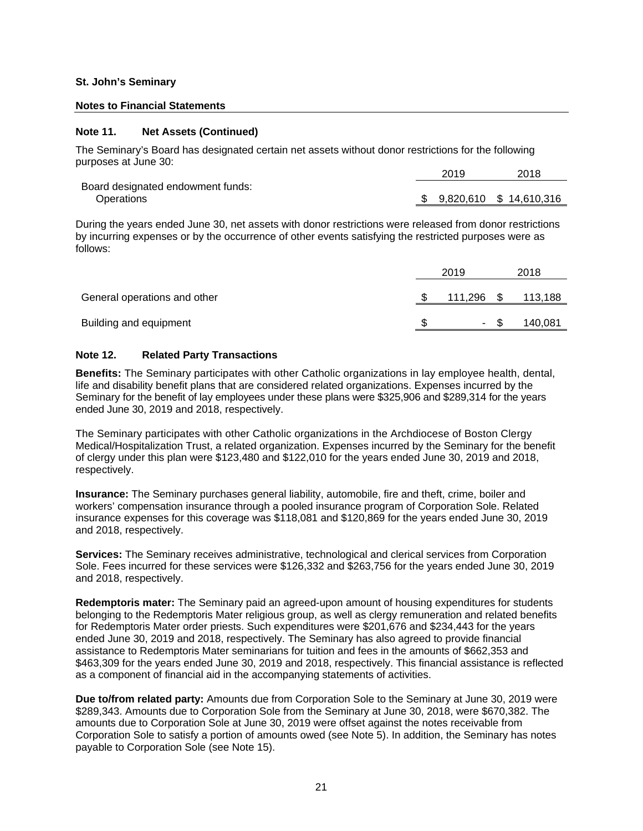# **Notes to Financial Statements**

## **Note 11. Net Assets (Continued)**

The Seminary's Board has designated certain net assets without donor restrictions for the following purposes at June 30:

|                                   | 2019 | 2018                       |
|-----------------------------------|------|----------------------------|
| Board designated endowment funds: |      |                            |
| Operations                        |      | \$ 9,820,610 \$ 14,610,316 |

During the years ended June 30, net assets with donor restrictions were released from donor restrictions by incurring expenses or by the occurrence of other events satisfying the restricted purposes were as follows:

|                              | 2019       | 2018    |
|------------------------------|------------|---------|
| General operations and other | 111,296 \$ | 113,188 |
| Building and equipment       | ۰.         | 140,081 |

#### **Note 12. Related Party Transactions**

**Benefits:** The Seminary participates with other Catholic organizations in lay employee health, dental, life and disability benefit plans that are considered related organizations. Expenses incurred by the Seminary for the benefit of lay employees under these plans were \$325,906 and \$289,314 for the years ended June 30, 2019 and 2018, respectively.

The Seminary participates with other Catholic organizations in the Archdiocese of Boston Clergy Medical/Hospitalization Trust, a related organization. Expenses incurred by the Seminary for the benefit of clergy under this plan were \$123,480 and \$122,010 for the years ended June 30, 2019 and 2018, respectively.

**Insurance:** The Seminary purchases general liability, automobile, fire and theft, crime, boiler and workers' compensation insurance through a pooled insurance program of Corporation Sole. Related insurance expenses for this coverage was \$118,081 and \$120,869 for the years ended June 30, 2019 and 2018, respectively.

**Services:** The Seminary receives administrative, technological and clerical services from Corporation Sole. Fees incurred for these services were \$126,332 and \$263,756 for the years ended June 30, 2019 and 2018, respectively.

**Redemptoris mater:** The Seminary paid an agreed-upon amount of housing expenditures for students belonging to the Redemptoris Mater religious group, as well as clergy remuneration and related benefits for Redemptoris Mater order priests. Such expenditures were \$201,676 and \$234,443 for the years ended June 30, 2019 and 2018, respectively. The Seminary has also agreed to provide financial assistance to Redemptoris Mater seminarians for tuition and fees in the amounts of \$662,353 and \$463,309 for the years ended June 30, 2019 and 2018, respectively. This financial assistance is reflected as a component of financial aid in the accompanying statements of activities.

**Due to/from related party:** Amounts due from Corporation Sole to the Seminary at June 30, 2019 were \$289,343. Amounts due to Corporation Sole from the Seminary at June 30, 2018, were \$670,382. The amounts due to Corporation Sole at June 30, 2019 were offset against the notes receivable from Corporation Sole to satisfy a portion of amounts owed (see Note 5). In addition, the Seminary has notes payable to Corporation Sole (see Note 15).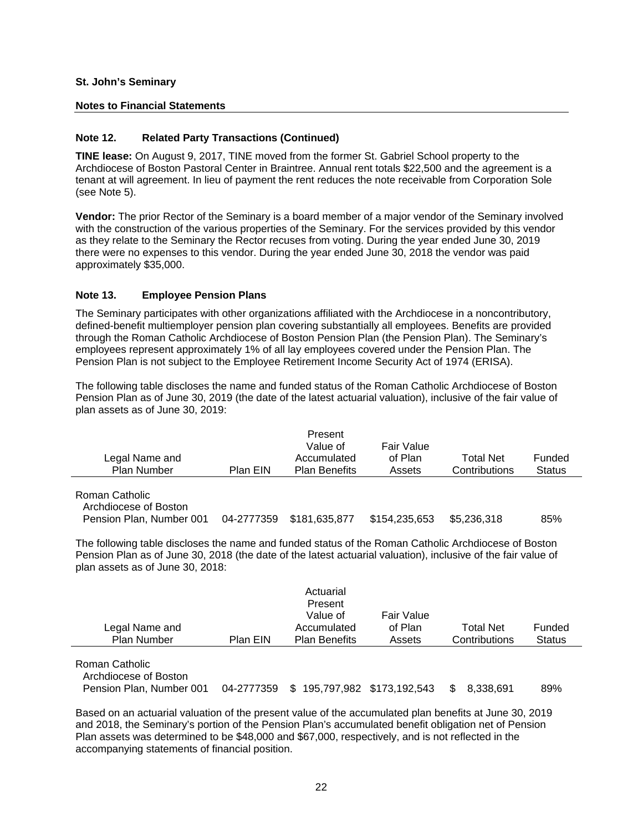### **Notes to Financial Statements**

## **Note 12. Related Party Transactions (Continued)**

**TINE lease:** On August 9, 2017, TINE moved from the former St. Gabriel School property to the Archdiocese of Boston Pastoral Center in Braintree. Annual rent totals \$22,500 and the agreement is a tenant at will agreement. In lieu of payment the rent reduces the note receivable from Corporation Sole (see Note 5).

**Vendor:** The prior Rector of the Seminary is a board member of a major vendor of the Seminary involved with the construction of the various properties of the Seminary. For the services provided by this vendor as they relate to the Seminary the Rector recuses from voting. During the year ended June 30, 2019 there were no expenses to this vendor. During the year ended June 30, 2018 the vendor was paid approximately \$35,000.

## **Note 13. Employee Pension Plans**

The Seminary participates with other organizations affiliated with the Archdiocese in a noncontributory, defined-benefit multiemployer pension plan covering substantially all employees. Benefits are provided through the Roman Catholic Archdiocese of Boston Pension Plan (the Pension Plan). The Seminary's employees represent approximately 1% of all lay employees covered under the Pension Plan. The Pension Plan is not subject to the Employee Retirement Income Security Act of 1974 (ERISA).

The following table discloses the name and funded status of the Roman Catholic Archdiocese of Boston Pension Plan as of June 30, 2019 (the date of the latest actuarial valuation), inclusive of the fair value of plan assets as of June 30, 2019:

| Legal Name and<br><b>Plan Number</b>                                | Plan EIN   | Present<br>Value of<br>Accumulated<br><b>Plan Benefits</b> | Fair Value<br>of Plan<br>Assets | Total Net<br>Contributions | Funded<br><b>Status</b> |
|---------------------------------------------------------------------|------------|------------------------------------------------------------|---------------------------------|----------------------------|-------------------------|
| Roman Catholic<br>Archdiocese of Boston<br>Pension Plan, Number 001 | 04-2777359 | \$181,635,877                                              | \$154,235,653                   | \$5,236,318                | 85%                     |

The following table discloses the name and funded status of the Roman Catholic Archdiocese of Boston Pension Plan as of June 30, 2018 (the date of the latest actuarial valuation), inclusive of the fair value of plan assets as of June 30, 2018:

| Legal Name and<br>Plan Number                                       | Plan EIN   | Actuarial<br>Present<br>Value of<br>Accumulated<br><b>Plan Benefits</b> | Fair Value<br>of Plan<br>Assets | <b>Total Net</b><br>Contributions | Funded<br><b>Status</b> |
|---------------------------------------------------------------------|------------|-------------------------------------------------------------------------|---------------------------------|-----------------------------------|-------------------------|
| Roman Catholic<br>Archdiocese of Boston<br>Pension Plan, Number 001 | 04-2777359 | S                                                                       | 195,797,982 \$173,192,543       | 8.338.691                         | 89%                     |

Based on an actuarial valuation of the present value of the accumulated plan benefits at June 30, 2019 and 2018, the Seminary's portion of the Pension Plan's accumulated benefit obligation net of Pension Plan assets was determined to be \$48,000 and \$67,000, respectively, and is not reflected in the accompanying statements of financial position.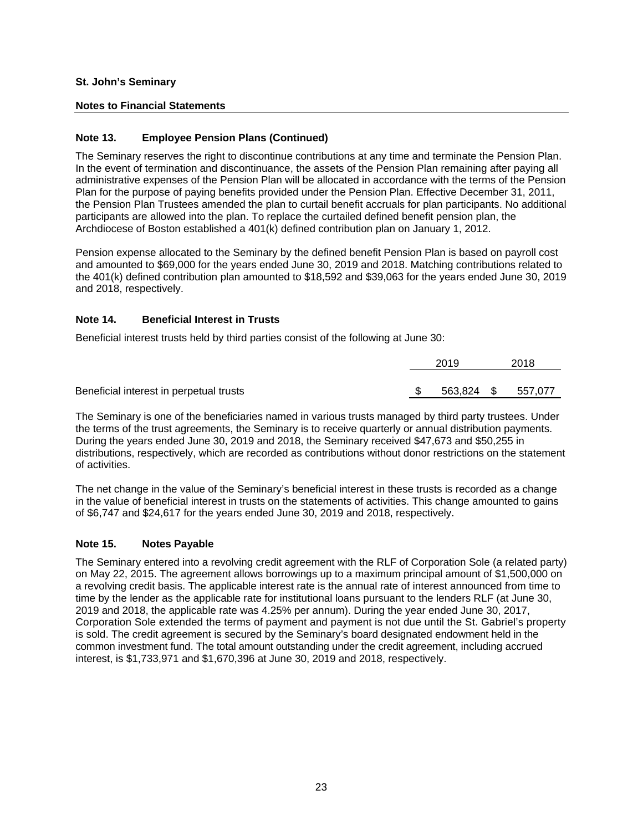## **Notes to Financial Statements**

## **Note 13. Employee Pension Plans (Continued)**

The Seminary reserves the right to discontinue contributions at any time and terminate the Pension Plan. In the event of termination and discontinuance, the assets of the Pension Plan remaining after paying all administrative expenses of the Pension Plan will be allocated in accordance with the terms of the Pension Plan for the purpose of paying benefits provided under the Pension Plan. Effective December 31, 2011, the Pension Plan Trustees amended the plan to curtail benefit accruals for plan participants. No additional participants are allowed into the plan. To replace the curtailed defined benefit pension plan, the Archdiocese of Boston established a 401(k) defined contribution plan on January 1, 2012.

Pension expense allocated to the Seminary by the defined benefit Pension Plan is based on payroll cost and amounted to \$69,000 for the years ended June 30, 2019 and 2018. Matching contributions related to the 401(k) defined contribution plan amounted to \$18,592 and \$39,063 for the years ended June 30, 2019 and 2018, respectively.

## **Note 14. Beneficial Interest in Trusts**

Beneficial interest trusts held by third parties consist of the following at June 30:

|                                         | 2019       | 2018    |
|-----------------------------------------|------------|---------|
|                                         |            |         |
| Beneficial interest in perpetual trusts | 563,824 \$ | 557,077 |

The Seminary is one of the beneficiaries named in various trusts managed by third party trustees. Under the terms of the trust agreements, the Seminary is to receive quarterly or annual distribution payments. During the years ended June 30, 2019 and 2018, the Seminary received \$47,673 and \$50,255 in distributions, respectively, which are recorded as contributions without donor restrictions on the statement of activities.

The net change in the value of the Seminary's beneficial interest in these trusts is recorded as a change in the value of beneficial interest in trusts on the statements of activities. This change amounted to gains of \$6,747 and \$24,617 for the years ended June 30, 2019 and 2018, respectively.

#### **Note 15. Notes Payable**

The Seminary entered into a revolving credit agreement with the RLF of Corporation Sole (a related party) on May 22, 2015. The agreement allows borrowings up to a maximum principal amount of \$1,500,000 on a revolving credit basis. The applicable interest rate is the annual rate of interest announced from time to time by the lender as the applicable rate for institutional loans pursuant to the lenders RLF (at June 30, 2019 and 2018, the applicable rate was 4.25% per annum). During the year ended June 30, 2017, Corporation Sole extended the terms of payment and payment is not due until the St. Gabriel's property is sold. The credit agreement is secured by the Seminary's board designated endowment held in the common investment fund. The total amount outstanding under the credit agreement, including accrued interest, is \$1,733,971 and \$1,670,396 at June 30, 2019 and 2018, respectively.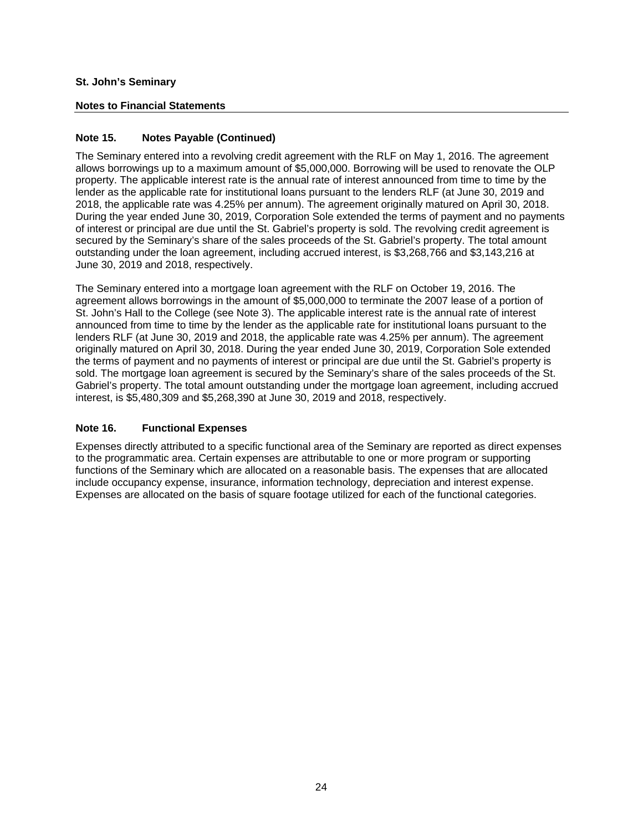## **Notes to Financial Statements**

## **Note 15. Notes Payable (Continued)**

The Seminary entered into a revolving credit agreement with the RLF on May 1, 2016. The agreement allows borrowings up to a maximum amount of \$5,000,000. Borrowing will be used to renovate the OLP property. The applicable interest rate is the annual rate of interest announced from time to time by the lender as the applicable rate for institutional loans pursuant to the lenders RLF (at June 30, 2019 and 2018, the applicable rate was 4.25% per annum). The agreement originally matured on April 30, 2018. During the year ended June 30, 2019, Corporation Sole extended the terms of payment and no payments of interest or principal are due until the St. Gabriel's property is sold. The revolving credit agreement is secured by the Seminary's share of the sales proceeds of the St. Gabriel's property. The total amount outstanding under the loan agreement, including accrued interest, is \$3,268,766 and \$3,143,216 at June 30, 2019 and 2018, respectively.

The Seminary entered into a mortgage loan agreement with the RLF on October 19, 2016. The agreement allows borrowings in the amount of \$5,000,000 to terminate the 2007 lease of a portion of St. John's Hall to the College (see Note 3). The applicable interest rate is the annual rate of interest announced from time to time by the lender as the applicable rate for institutional loans pursuant to the lenders RLF (at June 30, 2019 and 2018, the applicable rate was 4.25% per annum). The agreement originally matured on April 30, 2018. During the year ended June 30, 2019, Corporation Sole extended the terms of payment and no payments of interest or principal are due until the St. Gabriel's property is sold. The mortgage loan agreement is secured by the Seminary's share of the sales proceeds of the St. Gabriel's property. The total amount outstanding under the mortgage loan agreement, including accrued interest, is \$5,480,309 and \$5,268,390 at June 30, 2019 and 2018, respectively.

#### **Note 16. Functional Expenses**

Expenses directly attributed to a specific functional area of the Seminary are reported as direct expenses to the programmatic area. Certain expenses are attributable to one or more program or supporting functions of the Seminary which are allocated on a reasonable basis. The expenses that are allocated include occupancy expense, insurance, information technology, depreciation and interest expense. Expenses are allocated on the basis of square footage utilized for each of the functional categories.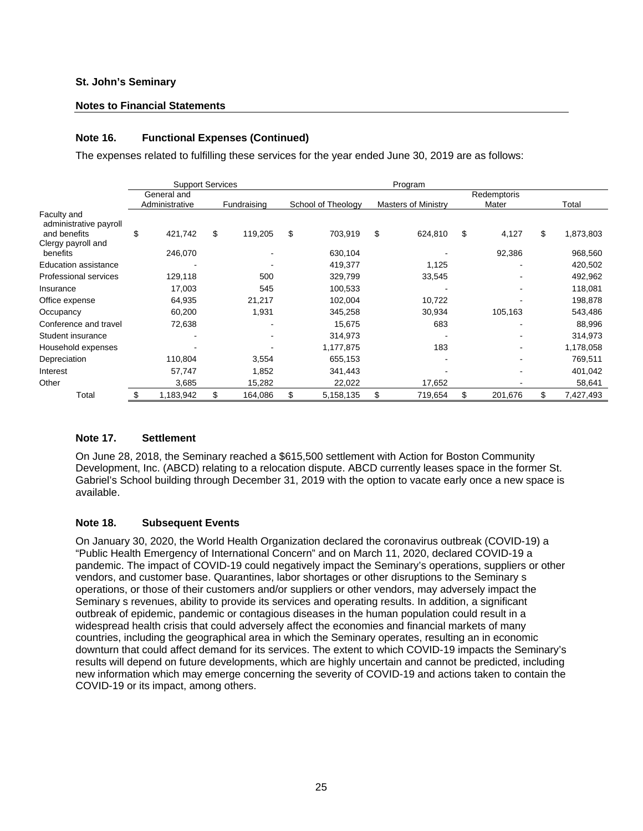#### **Notes to Financial Statements**

## **Note 16. Functional Expenses (Continued)**

The expenses related to fulfilling these services for the year ended June 30, 2019 are as follows:

|                                       | <b>Support Services</b><br>Program |                               |    |             |    |                    |    |                     |                      |    |           |
|---------------------------------------|------------------------------------|-------------------------------|----|-------------|----|--------------------|----|---------------------|----------------------|----|-----------|
|                                       |                                    | General and<br>Administrative |    | Fundraising |    | School of Theology |    | Masters of Ministry | Redemptoris<br>Mater |    | Total     |
| Faculty and<br>administrative payroll |                                    |                               |    |             |    |                    |    |                     |                      |    |           |
| and benefits<br>Clergy payroll and    | \$                                 | 421,742                       | \$ | 119,205     | \$ | 703,919            | \$ | 624,810             | \$<br>4,127          | \$ | 1,873,803 |
| benefits                              |                                    | 246,070                       |    |             |    | 630,104            |    |                     | 92,386               |    | 968,560   |
| <b>Education assistance</b>           |                                    |                               |    |             |    | 419,377            |    | 1,125               |                      |    | 420,502   |
| <b>Professional services</b>          |                                    | 129,118                       |    | 500         |    | 329,799            |    | 33,545              |                      |    | 492,962   |
| Insurance                             |                                    | 17,003                        |    | 545         |    | 100,533            |    |                     |                      |    | 118,081   |
| Office expense                        |                                    | 64,935                        |    | 21,217      |    | 102,004            |    | 10,722              |                      |    | 198,878   |
| Occupancy                             |                                    | 60,200                        |    | 1,931       |    | 345,258            |    | 30,934              | 105,163              |    | 543,486   |
| Conference and travel                 |                                    | 72,638                        |    |             |    | 15,675             |    | 683                 |                      |    | 88,996    |
| Student insurance                     |                                    |                               |    |             |    | 314,973            |    |                     |                      |    | 314,973   |
| Household expenses                    |                                    |                               |    |             |    | 1,177,875          |    | 183                 |                      |    | 1,178,058 |
| Depreciation                          |                                    | 110,804                       |    | 3,554       |    | 655,153            |    |                     | ۰                    |    | 769,511   |
| Interest                              |                                    | 57,747                        |    | 1,852       |    | 341,443            |    |                     |                      |    | 401,042   |
| Other                                 |                                    | 3,685                         |    | 15,282      |    | 22,022             |    | 17,652              |                      |    | 58,641    |
| Total                                 | \$                                 | 1,183,942                     | \$ | 164,086     | \$ | 5,158,135          | \$ | 719,654             | \$<br>201,676        | \$ | 7,427,493 |

#### **Note 17. Settlement**

On June 28, 2018, the Seminary reached a \$615,500 settlement with Action for Boston Community Development, Inc. (ABCD) relating to a relocation dispute. ABCD currently leases space in the former St. Gabriel's School building through December 31, 2019 with the option to vacate early once a new space is available.

#### **Note 18. Subsequent Events**

On January 30, 2020, the World Health Organization declared the coronavirus outbreak (COVID-19) a "Public Health Emergency of International Concern" and on March 11, 2020, declared COVID-19 a pandemic. The impact of COVID-19 could negatively impact the Seminary's operations, suppliers or other vendors, and customer base. Quarantines, labor shortages or other disruptions to the Seminary s operations, or those of their customers and/or suppliers or other vendors, may adversely impact the Seminary s revenues, ability to provide its services and operating results. In addition, a significant outbreak of epidemic, pandemic or contagious diseases in the human population could result in a widespread health crisis that could adversely affect the economies and financial markets of many countries, including the geographical area in which the Seminary operates, resulting an in economic downturn that could affect demand for its services. The extent to which COVID-19 impacts the Seminary's results will depend on future developments, which are highly uncertain and cannot be predicted, including new information which may emerge concerning the severity of COVID-19 and actions taken to contain the COVID-19 or its impact, among others.